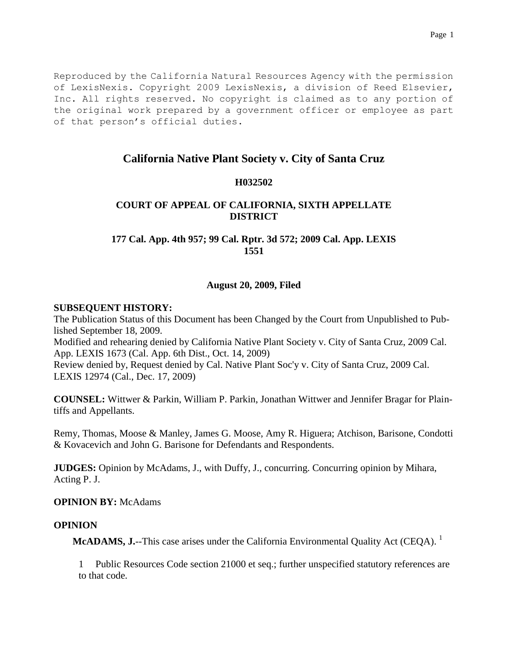Reproduced by the California Natural Resources Agency with the permission of LexisNexis. Copyright 2009 LexisNexis, a division of Reed Elsevier, Inc. All rights reserved. No copyright is claimed as to any portion of the original work prepared by a government officer or employee as part of that person's official duties.

# **California Native Plant Society v. City of Santa Cruz**

## **H032502**

# **COURT OF APPEAL OF CALIFORNIA, SIXTH APPELLATE DISTRICT**

## **177 Cal. App. 4th 957; 99 Cal. Rptr. 3d 572; 2009 Cal. App. LEXIS 1551**

## **August 20, 2009, Filed**

## **SUBSEQUENT HISTORY:**

The Publication Status of this Document has been Changed by the Court from Unpublished to Published September 18, 2009.

Modified and rehearing denied by California Native Plant Society v. City of Santa Cruz, 2009 Cal. App. LEXIS 1673 (Cal. App. 6th Dist., Oct. 14, 2009)

Review denied by, Request denied by Cal. Native Plant Soc'y v. City of Santa Cruz, 2009 Cal. LEXIS 12974 (Cal., Dec. 17, 2009)

**COUNSEL:** Wittwer & Parkin, William P. Parkin, Jonathan Wittwer and Jennifer Bragar for Plaintiffs and Appellants.

Remy, Thomas, Moose & Manley, James G. Moose, Amy R. Higuera; Atchison, Barisone, Condotti & Kovacevich and John G. Barisone for Defendants and Respondents.

**JUDGES:** Opinion by McAdams, J., with Duffy, J., concurring. Concurring opinion by Mihara, Acting P. J.

## **OPINION BY:** McAdams

## **OPINION**

**McADAMS, J.**--This case arises under the California Environmental Quality Act (CEQA). <sup>1</sup>

1 Public Resources Code section 21000 et seq.; further unspecified statutory references are to that code.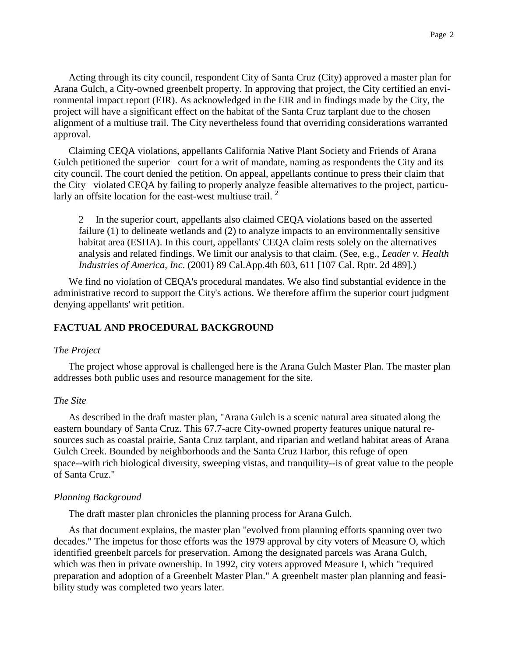Acting through its city council, respondent City of Santa Cruz (City) approved a master plan for Arana Gulch, a City-owned greenbelt property. In approving that project, the City certified an environmental impact report (EIR). As acknowledged in the EIR and in findings made by the City, the project will have a significant effect on the habitat of the Santa Cruz tarplant due to the chosen alignment of a multiuse trail. The City nevertheless found that overriding considerations warranted approval.

Claiming CEQA violations, appellants California Native Plant Society and Friends of Arana Gulch petitioned the superior court for a writ of mandate, naming as respondents the City and its city council. The court denied the petition. On appeal, appellants continue to press their claim that the City violated CEQA by failing to properly analyze feasible alternatives to the project, particularly an offsite location for the east-west multiuse trail.<sup>2</sup>

2 In the superior court, appellants also claimed CEQA violations based on the asserted failure (1) to delineate wetlands and (2) to analyze impacts to an environmentally sensitive habitat area (ESHA). In this court, appellants' CEQA claim rests solely on the alternatives analysis and related findings. We limit our analysis to that claim. (See, e.g., *Leader v. Health Industries of America, Inc*. (2001) 89 Cal.App.4th 603, 611 [107 Cal. Rptr. 2d 489].)

We find no violation of CEQA's procedural mandates. We also find substantial evidence in the administrative record to support the City's actions. We therefore affirm the superior court judgment denying appellants' writ petition.

## **FACTUAL AND PROCEDURAL BACKGROUND**

## *The Project*

The project whose approval is challenged here is the Arana Gulch Master Plan. The master plan addresses both public uses and resource management for the site.

#### *The Site*

As described in the draft master plan, "Arana Gulch is a scenic natural area situated along the eastern boundary of Santa Cruz. This 67.7-acre City-owned property features unique natural resources such as coastal prairie, Santa Cruz tarplant, and riparian and wetland habitat areas of Arana Gulch Creek. Bounded by neighborhoods and the Santa Cruz Harbor, this refuge of open space--with rich biological diversity, sweeping vistas, and tranquility--is of great value to the people of Santa Cruz."

#### *Planning Background*

The draft master plan chronicles the planning process for Arana Gulch.

As that document explains, the master plan "evolved from planning efforts spanning over two decades." The impetus for those efforts was the 1979 approval by city voters of Measure O, which identified greenbelt parcels for preservation. Among the designated parcels was Arana Gulch, which was then in private ownership. In 1992, city voters approved Measure I, which "required preparation and adoption of a Greenbelt Master Plan." A greenbelt master plan planning and feasibility study was completed two years later.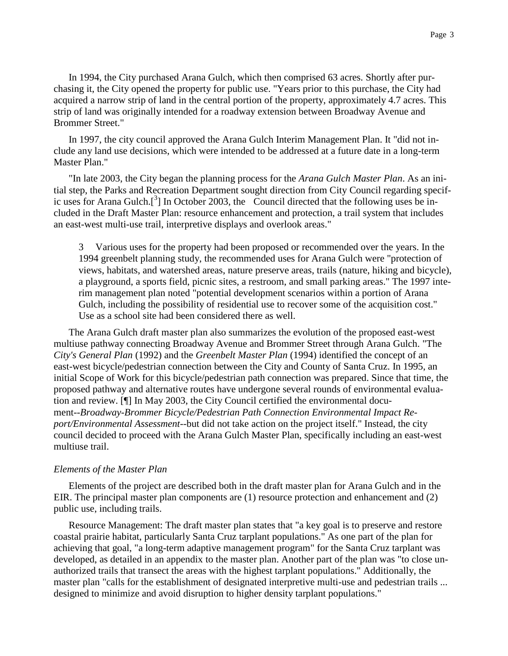In 1994, the City purchased Arana Gulch, which then comprised 63 acres. Shortly after purchasing it, the City opened the property for public use. "Years prior to this purchase, the City had acquired a narrow strip of land in the central portion of the property, approximately 4.7 acres. This strip of land was originally intended for a roadway extension between Broadway Avenue and Brommer Street."

In 1997, the city council approved the Arana Gulch Interim Management Plan. It "did not include any land use decisions, which were intended to be addressed at a future date in a long-term Master Plan."

"In late 2003, the City began the planning process for the *Arana Gulch Master Plan*. As an initial step, the Parks and Recreation Department sought direction from City Council regarding specific uses for Arana Gulch.<sup>[3</sup>] In October 2003, the Council directed that the following uses be included in the Draft Master Plan: resource enhancement and protection, a trail system that includes an east-west multi-use trail, interpretive displays and overlook areas."

3 Various uses for the property had been proposed or recommended over the years. In the 1994 greenbelt planning study, the recommended uses for Arana Gulch were "protection of views, habitats, and watershed areas, nature preserve areas, trails (nature, hiking and bicycle), a playground, a sports field, picnic sites, a restroom, and small parking areas." The 1997 interim management plan noted "potential development scenarios within a portion of Arana Gulch, including the possibility of residential use to recover some of the acquisition cost." Use as a school site had been considered there as well.

The Arana Gulch draft master plan also summarizes the evolution of the proposed east-west multiuse pathway connecting Broadway Avenue and Brommer Street through Arana Gulch. "The *City's General Plan* (1992) and the *Greenbelt Master Plan* (1994) identified the concept of an east-west bicycle/pedestrian connection between the City and County of Santa Cruz. In 1995, an initial Scope of Work for this bicycle/pedestrian path connection was prepared. Since that time, the proposed pathway and alternative routes have undergone several rounds of environmental evaluation and review. [¶] In May 2003, the City Council certified the environmental document--*Broadway-Brommer Bicycle/Pedestrian Path Connection Environmental Impact Report/Environmental Assessment*--but did not take action on the project itself." Instead, the city council decided to proceed with the Arana Gulch Master Plan, specifically including an east-west multiuse trail.

### *Elements of the Master Plan*

Elements of the project are described both in the draft master plan for Arana Gulch and in the EIR. The principal master plan components are (1) resource protection and enhancement and (2) public use, including trails.

Resource Management: The draft master plan states that "a key goal is to preserve and restore coastal prairie habitat, particularly Santa Cruz tarplant populations." As one part of the plan for achieving that goal, "a long-term adaptive management program" for the Santa Cruz tarplant was developed, as detailed in an appendix to the master plan. Another part of the plan was "to close unauthorized trails that transect the areas with the highest tarplant populations." Additionally, the master plan "calls for the establishment of designated interpretive multi-use and pedestrian trails ... designed to minimize and avoid disruption to higher density tarplant populations."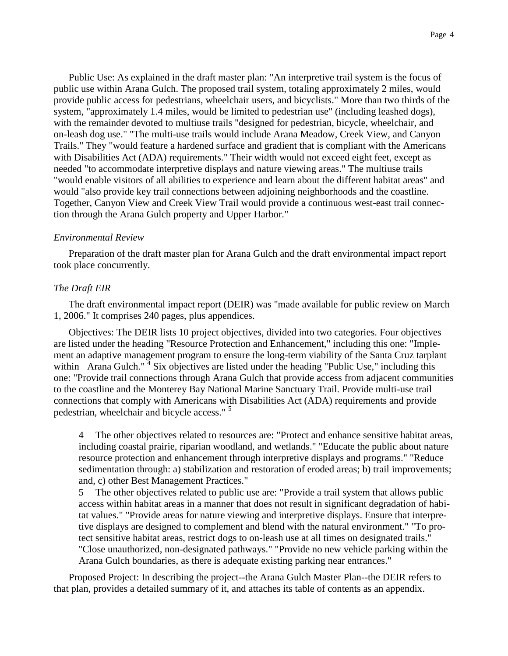Public Use: As explained in the draft master plan: "An interpretive trail system is the focus of public use within Arana Gulch. The proposed trail system, totaling approximately 2 miles, would provide public access for pedestrians, wheelchair users, and bicyclists." More than two thirds of the system, "approximately 1.4 miles, would be limited to pedestrian use" (including leashed dogs), with the remainder devoted to multiuse trails "designed for pedestrian, bicycle, wheelchair, and on-leash dog use." "The multi-use trails would include Arana Meadow, Creek View, and Canyon Trails." They "would feature a hardened surface and gradient that is compliant with the Americans with Disabilities Act (ADA) requirements." Their width would not exceed eight feet, except as needed "to accommodate interpretive displays and nature viewing areas." The multiuse trails "would enable visitors of all abilities to experience and learn about the different habitat areas" and would "also provide key trail connections between adjoining neighborhoods and the coastline. Together, Canyon View and Creek View Trail would provide a continuous west-east trail connection through the Arana Gulch property and Upper Harbor."

## *Environmental Review*

Preparation of the draft master plan for Arana Gulch and the draft environmental impact report took place concurrently.

## *The Draft EIR*

The draft environmental impact report (DEIR) was "made available for public review on March 1, 2006." It comprises 240 pages, plus appendices.

Objectives: The DEIR lists 10 project objectives, divided into two categories. Four objectives are listed under the heading "Resource Protection and Enhancement," including this one: "Implement an adaptive management program to ensure the long-term viability of the Santa Cruz tarplant within Arana Gulch."<sup>4</sup> Six objectives are listed under the heading "Public Use," including this one: "Provide trail connections through Arana Gulch that provide access from adjacent communities to the coastline and the Monterey Bay National Marine Sanctuary Trail. Provide multi-use trail connections that comply with Americans with Disabilities Act (ADA) requirements and provide pedestrian, wheelchair and bicycle access."<sup>5</sup>

4 The other objectives related to resources are: "Protect and enhance sensitive habitat areas, including coastal prairie, riparian woodland, and wetlands." "Educate the public about nature resource protection and enhancement through interpretive displays and programs." "Reduce sedimentation through: a) stabilization and restoration of eroded areas; b) trail improvements; and, c) other Best Management Practices."

5 The other objectives related to public use are: "Provide a trail system that allows public access within habitat areas in a manner that does not result in significant degradation of habitat values." "Provide areas for nature viewing and interpretive displays. Ensure that interpretive displays are designed to complement and blend with the natural environment." "To protect sensitive habitat areas, restrict dogs to on-leash use at all times on designated trails." "Close unauthorized, non-designated pathways." "Provide no new vehicle parking within the Arana Gulch boundaries, as there is adequate existing parking near entrances."

Proposed Project: In describing the project--the Arana Gulch Master Plan--the DEIR refers to that plan, provides a detailed summary of it, and attaches its table of contents as an appendix.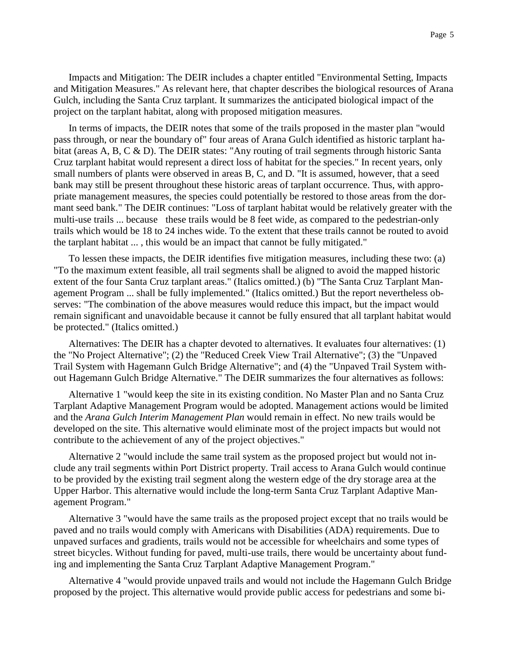Impacts and Mitigation: The DEIR includes a chapter entitled "Environmental Setting, Impacts and Mitigation Measures." As relevant here, that chapter describes the biological resources of Arana Gulch, including the Santa Cruz tarplant. It summarizes the anticipated biological impact of the project on the tarplant habitat, along with proposed mitigation measures.

In terms of impacts, the DEIR notes that some of the trails proposed in the master plan "would pass through, or near the boundary of" four areas of Arana Gulch identified as historic tarplant habitat (areas A, B, C & D). The DEIR states: "Any routing of trail segments through historic Santa Cruz tarplant habitat would represent a direct loss of habitat for the species." In recent years, only small numbers of plants were observed in areas B, C, and D. "It is assumed, however, that a seed bank may still be present throughout these historic areas of tarplant occurrence. Thus, with appropriate management measures, the species could potentially be restored to those areas from the dormant seed bank." The DEIR continues: "Loss of tarplant habitat would be relatively greater with the multi-use trails ... because these trails would be 8 feet wide, as compared to the pedestrian-only trails which would be 18 to 24 inches wide. To the extent that these trails cannot be routed to avoid the tarplant habitat ... , this would be an impact that cannot be fully mitigated."

To lessen these impacts, the DEIR identifies five mitigation measures, including these two: (a) "To the maximum extent feasible, all trail segments shall be aligned to avoid the mapped historic extent of the four Santa Cruz tarplant areas." (Italics omitted.) (b) "The Santa Cruz Tarplant Management Program ... shall be fully implemented." (Italics omitted.) But the report nevertheless observes: "The combination of the above measures would reduce this impact, but the impact would remain significant and unavoidable because it cannot be fully ensured that all tarplant habitat would be protected." (Italics omitted.)

Alternatives: The DEIR has a chapter devoted to alternatives. It evaluates four alternatives: (1) the "No Project Alternative"; (2) the "Reduced Creek View Trail Alternative"; (3) the "Unpaved Trail System with Hagemann Gulch Bridge Alternative"; and (4) the "Unpaved Trail System without Hagemann Gulch Bridge Alternative." The DEIR summarizes the four alternatives as follows:

Alternative 1 "would keep the site in its existing condition. No Master Plan and no Santa Cruz Tarplant Adaptive Management Program would be adopted. Management actions would be limited and the *Arana Gulch Interim Management Plan* would remain in effect. No new trails would be developed on the site. This alternative would eliminate most of the project impacts but would not contribute to the achievement of any of the project objectives."

Alternative 2 "would include the same trail system as the proposed project but would not include any trail segments within Port District property. Trail access to Arana Gulch would continue to be provided by the existing trail segment along the western edge of the dry storage area at the Upper Harbor. This alternative would include the long-term Santa Cruz Tarplant Adaptive Management Program."

Alternative 3 "would have the same trails as the proposed project except that no trails would be paved and no trails would comply with Americans with Disabilities (ADA) requirements. Due to unpaved surfaces and gradients, trails would not be accessible for wheelchairs and some types of street bicycles. Without funding for paved, multi-use trails, there would be uncertainty about funding and implementing the Santa Cruz Tarplant Adaptive Management Program."

Alternative 4 "would provide unpaved trails and would not include the Hagemann Gulch Bridge proposed by the project. This alternative would provide public access for pedestrians and some bi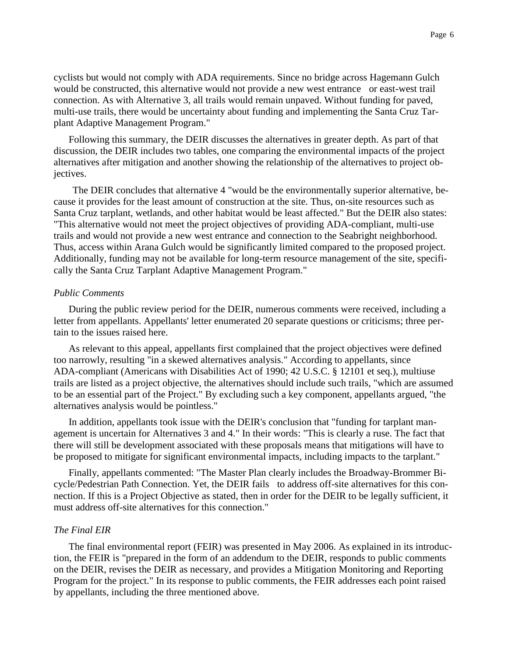cyclists but would not comply with ADA requirements. Since no bridge across Hagemann Gulch would be constructed, this alternative would not provide a new west entrance or east-west trail connection. As with Alternative 3, all trails would remain unpaved. Without funding for paved, multi-use trails, there would be uncertainty about funding and implementing the Santa Cruz Tarplant Adaptive Management Program."

Following this summary, the DEIR discusses the alternatives in greater depth. As part of that discussion, the DEIR includes two tables, one comparing the environmental impacts of the project alternatives after mitigation and another showing the relationship of the alternatives to project objectives.

The DEIR concludes that alternative 4 "would be the environmentally superior alternative, because it provides for the least amount of construction at the site. Thus, on-site resources such as Santa Cruz tarplant, wetlands, and other habitat would be least affected." But the DEIR also states: "This alternative would not meet the project objectives of providing ADA-compliant, multi-use trails and would not provide a new west entrance and connection to the Seabright neighborhood. Thus, access within Arana Gulch would be significantly limited compared to the proposed project. Additionally, funding may not be available for long-term resource management of the site, specifically the Santa Cruz Tarplant Adaptive Management Program."

#### *Public Comments*

During the public review period for the DEIR, numerous comments were received, including a letter from appellants. Appellants' letter enumerated 20 separate questions or criticisms; three pertain to the issues raised here.

As relevant to this appeal, appellants first complained that the project objectives were defined too narrowly, resulting "in a skewed alternatives analysis." According to appellants, since ADA-compliant (Americans with Disabilities Act of 1990; 42 U.S.C. § 12101 et seq.), multiuse trails are listed as a project objective, the alternatives should include such trails, "which are assumed to be an essential part of the Project." By excluding such a key component, appellants argued, "the alternatives analysis would be pointless."

In addition, appellants took issue with the DEIR's conclusion that "funding for tarplant management is uncertain for Alternatives 3 and 4." In their words: "This is clearly a ruse. The fact that there will still be development associated with these proposals means that mitigations will have to be proposed to mitigate for significant environmental impacts, including impacts to the tarplant."

Finally, appellants commented: "The Master Plan clearly includes the Broadway-Brommer Bicycle/Pedestrian Path Connection. Yet, the DEIR fails to address off-site alternatives for this connection. If this is a Project Objective as stated, then in order for the DEIR to be legally sufficient, it must address off-site alternatives for this connection."

## *The Final EIR*

The final environmental report (FEIR) was presented in May 2006. As explained in its introduction, the FEIR is "prepared in the form of an addendum to the DEIR, responds to public comments on the DEIR, revises the DEIR as necessary, and provides a Mitigation Monitoring and Reporting Program for the project." In its response to public comments, the FEIR addresses each point raised by appellants, including the three mentioned above.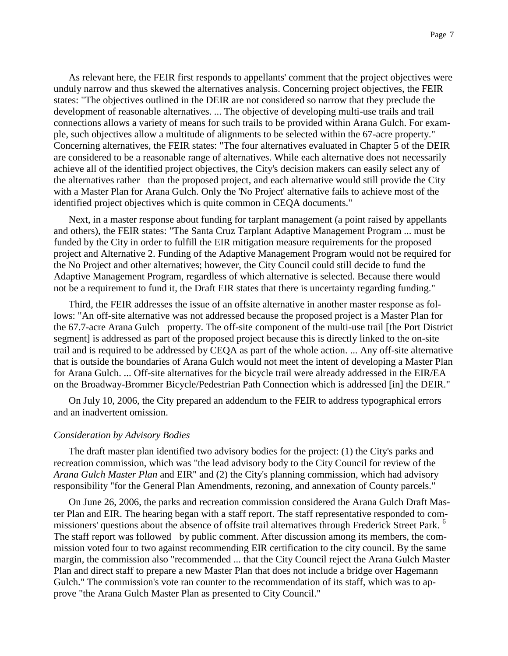As relevant here, the FEIR first responds to appellants' comment that the project objectives were unduly narrow and thus skewed the alternatives analysis. Concerning project objectives, the FEIR states: "The objectives outlined in the DEIR are not considered so narrow that they preclude the development of reasonable alternatives. ... The objective of developing multi-use trails and trail connections allows a variety of means for such trails to be provided within Arana Gulch. For example, such objectives allow a multitude of alignments to be selected within the 67-acre property." Concerning alternatives, the FEIR states: "The four alternatives evaluated in Chapter 5 of the DEIR are considered to be a reasonable range of alternatives. While each alternative does not necessarily achieve all of the identified project objectives, the City's decision makers can easily select any of the alternatives rather than the proposed project, and each alternative would still provide the City with a Master Plan for Arana Gulch. Only the 'No Project' alternative fails to achieve most of the identified project objectives which is quite common in CEQA documents."

Next, in a master response about funding for tarplant management (a point raised by appellants and others), the FEIR states: "The Santa Cruz Tarplant Adaptive Management Program ... must be funded by the City in order to fulfill the EIR mitigation measure requirements for the proposed project and Alternative 2. Funding of the Adaptive Management Program would not be required for the No Project and other alternatives; however, the City Council could still decide to fund the Adaptive Management Program, regardless of which alternative is selected. Because there would not be a requirement to fund it, the Draft EIR states that there is uncertainty regarding funding."

Third, the FEIR addresses the issue of an offsite alternative in another master response as follows: "An off-site alternative was not addressed because the proposed project is a Master Plan for the 67.7-acre Arana Gulch property. The off-site component of the multi-use trail [the Port District segment] is addressed as part of the proposed project because this is directly linked to the on-site trail and is required to be addressed by CEQA as part of the whole action. ... Any off-site alternative that is outside the boundaries of Arana Gulch would not meet the intent of developing a Master Plan for Arana Gulch. ... Off-site alternatives for the bicycle trail were already addressed in the EIR/EA on the Broadway-Brommer Bicycle/Pedestrian Path Connection which is addressed [in] the DEIR."

On July 10, 2006, the City prepared an addendum to the FEIR to address typographical errors and an inadvertent omission.

#### *Consideration by Advisory Bodies*

The draft master plan identified two advisory bodies for the project: (1) the City's parks and recreation commission, which was "the lead advisory body to the City Council for review of the *Arana Gulch Master Plan* and EIR" and (2) the City's planning commission, which had advisory responsibility "for the General Plan Amendments, rezoning, and annexation of County parcels."

On June 26, 2006, the parks and recreation commission considered the Arana Gulch Draft Master Plan and EIR. The hearing began with a staff report. The staff representative responded to commissioners' questions about the absence of offsite trail alternatives through Frederick Street Park. <sup>6</sup> The staff report was followed by public comment. After discussion among its members, the commission voted four to two against recommending EIR certification to the city council. By the same margin, the commission also "recommended ... that the City Council reject the Arana Gulch Master Plan and direct staff to prepare a new Master Plan that does not include a bridge over Hagemann Gulch." The commission's vote ran counter to the recommendation of its staff, which was to approve "the Arana Gulch Master Plan as presented to City Council."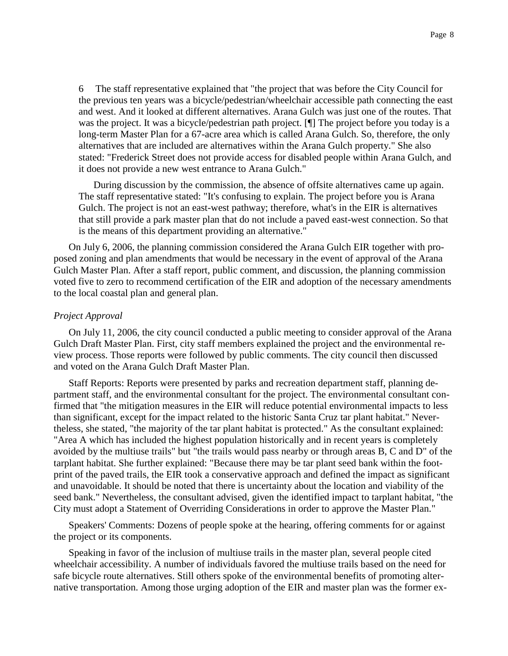6 The staff representative explained that "the project that was before the City Council for the previous ten years was a bicycle/pedestrian/wheelchair accessible path connecting the east and west. And it looked at different alternatives. Arana Gulch was just one of the routes. That was the project. It was a bicycle/pedestrian path project. [¶] The project before you today is a long-term Master Plan for a 67-acre area which is called Arana Gulch. So, therefore, the only alternatives that are included are alternatives within the Arana Gulch property." She also stated: "Frederick Street does not provide access for disabled people within Arana Gulch, and it does not provide a new west entrance to Arana Gulch."

During discussion by the commission, the absence of offsite alternatives came up again. The staff representative stated: "It's confusing to explain. The project before you is Arana Gulch. The project is not an east-west pathway; therefore, what's in the EIR is alternatives that still provide a park master plan that do not include a paved east-west connection. So that is the means of this department providing an alternative."

On July 6, 2006, the planning commission considered the Arana Gulch EIR together with proposed zoning and plan amendments that would be necessary in the event of approval of the Arana Gulch Master Plan. After a staff report, public comment, and discussion, the planning commission voted five to zero to recommend certification of the EIR and adoption of the necessary amendments to the local coastal plan and general plan.

### *Project Approval*

On July 11, 2006, the city council conducted a public meeting to consider approval of the Arana Gulch Draft Master Plan. First, city staff members explained the project and the environmental review process. Those reports were followed by public comments. The city council then discussed and voted on the Arana Gulch Draft Master Plan.

Staff Reports: Reports were presented by parks and recreation department staff, planning department staff, and the environmental consultant for the project. The environmental consultant confirmed that "the mitigation measures in the EIR will reduce potential environmental impacts to less than significant, except for the impact related to the historic Santa Cruz tar plant habitat." Nevertheless, she stated, "the majority of the tar plant habitat is protected." As the consultant explained: "Area A which has included the highest population historically and in recent years is completely avoided by the multiuse trails" but "the trails would pass nearby or through areas B, C and D" of the tarplant habitat. She further explained: "Because there may be tar plant seed bank within the footprint of the paved trails, the EIR took a conservative approach and defined the impact as significant and unavoidable. It should be noted that there is uncertainty about the location and viability of the seed bank." Nevertheless, the consultant advised, given the identified impact to tarplant habitat, "the City must adopt a Statement of Overriding Considerations in order to approve the Master Plan."

Speakers' Comments: Dozens of people spoke at the hearing, offering comments for or against the project or its components.

Speaking in favor of the inclusion of multiuse trails in the master plan, several people cited wheelchair accessibility. A number of individuals favored the multiuse trails based on the need for safe bicycle route alternatives. Still others spoke of the environmental benefits of promoting alternative transportation. Among those urging adoption of the EIR and master plan was the former ex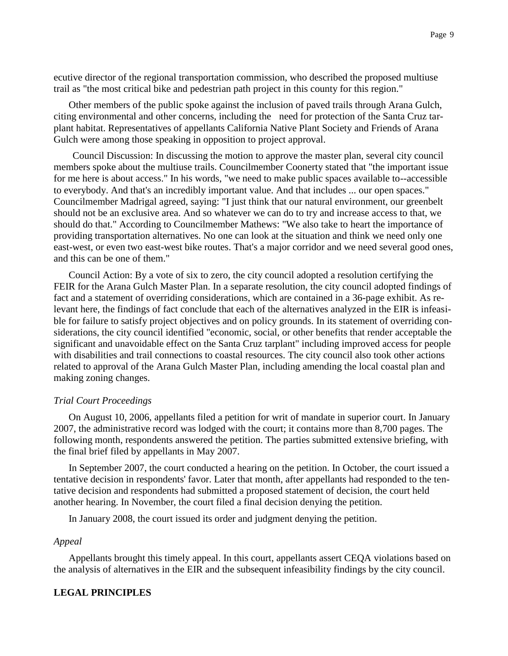ecutive director of the regional transportation commission, who described the proposed multiuse trail as "the most critical bike and pedestrian path project in this county for this region."

Other members of the public spoke against the inclusion of paved trails through Arana Gulch, citing environmental and other concerns, including the need for protection of the Santa Cruz tarplant habitat. Representatives of appellants California Native Plant Society and Friends of Arana Gulch were among those speaking in opposition to project approval.

Council Discussion: In discussing the motion to approve the master plan, several city council members spoke about the multiuse trails. Councilmember Coonerty stated that "the important issue for me here is about access." In his words, "we need to make public spaces available to--accessible to everybody. And that's an incredibly important value. And that includes ... our open spaces." Councilmember Madrigal agreed, saying: "I just think that our natural environment, our greenbelt should not be an exclusive area. And so whatever we can do to try and increase access to that, we should do that." According to Councilmember Mathews: "We also take to heart the importance of providing transportation alternatives. No one can look at the situation and think we need only one east-west, or even two east-west bike routes. That's a major corridor and we need several good ones, and this can be one of them."

Council Action: By a vote of six to zero, the city council adopted a resolution certifying the FEIR for the Arana Gulch Master Plan. In a separate resolution, the city council adopted findings of fact and a statement of overriding considerations, which are contained in a 36-page exhibit. As relevant here, the findings of fact conclude that each of the alternatives analyzed in the EIR is infeasible for failure to satisfy project objectives and on policy grounds. In its statement of overriding considerations, the city council identified "economic, social, or other benefits that render acceptable the significant and unavoidable effect on the Santa Cruz tarplant" including improved access for people with disabilities and trail connections to coastal resources. The city council also took other actions related to approval of the Arana Gulch Master Plan, including amending the local coastal plan and making zoning changes.

## *Trial Court Proceedings*

On August 10, 2006, appellants filed a petition for writ of mandate in superior court. In January 2007, the administrative record was lodged with the court; it contains more than 8,700 pages. The following month, respondents answered the petition. The parties submitted extensive briefing, with the final brief filed by appellants in May 2007.

In September 2007, the court conducted a hearing on the petition. In October, the court issued a tentative decision in respondents' favor. Later that month, after appellants had responded to the tentative decision and respondents had submitted a proposed statement of decision, the court held another hearing. In November, the court filed a final decision denying the petition.

In January 2008, the court issued its order and judgment denying the petition.

#### *Appeal*

Appellants brought this timely appeal. In this court, appellants assert CEQA violations based on the analysis of alternatives in the EIR and the subsequent infeasibility findings by the city council.

## **LEGAL PRINCIPLES**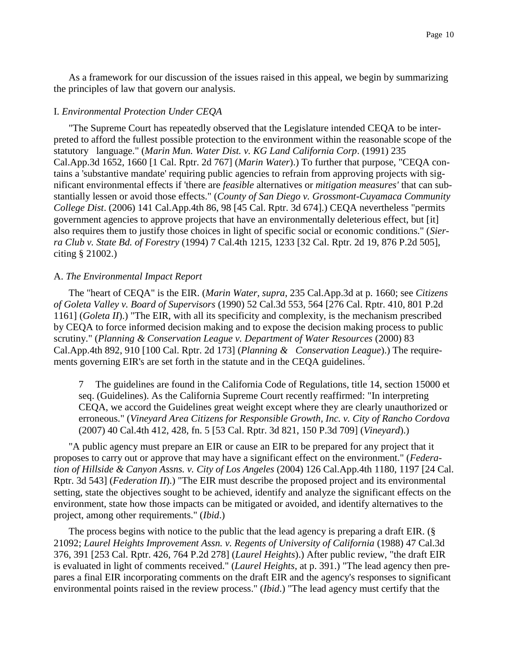As a framework for our discussion of the issues raised in this appeal, we begin by summarizing the principles of law that govern our analysis.

## I. *Environmental Protection Under CEQA*

"The Supreme Court has repeatedly observed that the Legislature intended CEQA to be interpreted to afford the fullest possible protection to the environment within the reasonable scope of the statutory language." (*Marin Mun. Water Dist. v. KG Land California Corp*. (1991) 235 Cal.App.3d 1652, 1660 [1 Cal. Rptr. 2d 767] (*Marin Water*).) To further that purpose, "CEQA contains a 'substantive mandate' requiring public agencies to refrain from approving projects with significant environmental effects if 'there are *feasible* alternatives or *mitigation measures'* that can substantially lessen or avoid those effects." (*County of San Diego v. Grossmont-Cuyamaca Community College Dist*. (2006) 141 Cal.App.4th 86, 98 [45 Cal. Rptr. 3d 674].) CEQA nevertheless "permits government agencies to approve projects that have an environmentally deleterious effect, but [it] also requires them to justify those choices in light of specific social or economic conditions." (*Sierra Club v. State Bd. of Forestry* (1994) 7 Cal.4th 1215, 1233 [32 Cal. Rptr. 2d 19, 876 P.2d 505], citing § 21002.)

### A. *The Environmental Impact Report*

The "heart of CEQA" is the EIR. (*Marin Water, supra*, 235 Cal.App.3d at p. 1660; see *Citizens of Goleta Valley v. Board of Supervisors* (1990) 52 Cal.3d 553, 564 [276 Cal. Rptr. 410, 801 P.2d 1161] (*Goleta II*).) "The EIR, with all its specificity and complexity, is the mechanism prescribed by CEQA to force informed decision making and to expose the decision making process to public scrutiny." (*Planning & Conservation League v. Department of Water Resources* (2000) 83 Cal.App.4th 892, 910 [100 Cal. Rptr. 2d 173] (*Planning & Conservation League*).) The requirements governing EIR's are set forth in the statute and in the CEQA guidelines. <sup>7</sup>

7 The guidelines are found in the California Code of Regulations, title 14, section 15000 et seq. (Guidelines). As the California Supreme Court recently reaffirmed: "In interpreting CEQA, we accord the Guidelines great weight except where they are clearly unauthorized or erroneous." (*Vineyard Area Citizens for Responsible Growth, Inc. v. City of Rancho Cordova* (2007) 40 Cal.4th 412, 428, fn. 5 [53 Cal. Rptr. 3d 821, 150 P.3d 709] (*Vineyard*).)

"A public agency must prepare an EIR or cause an EIR to be prepared for any project that it proposes to carry out or approve that may have a significant effect on the environment." (*Federation of Hillside & Canyon Assns. v. City of Los Angeles* (2004) 126 Cal.App.4th 1180, 1197 [24 Cal. Rptr. 3d 543] (*Federation II*).) "The EIR must describe the proposed project and its environmental setting, state the objectives sought to be achieved, identify and analyze the significant effects on the environment, state how those impacts can be mitigated or avoided, and identify alternatives to the project, among other requirements." (*Ibid*.)

The process begins with notice to the public that the lead agency is preparing a draft EIR. (§ 21092; *Laurel Heights Improvement Assn. v. Regents of University of California* (1988) 47 Cal.3d 376, 391 [253 Cal. Rptr. 426, 764 P.2d 278] (*Laurel Heights*).) After public review, "the draft EIR is evaluated in light of comments received." (*Laurel Heights*, at p. 391.) "The lead agency then prepares a final EIR incorporating comments on the draft EIR and the agency's responses to significant environmental points raised in the review process." (*Ibid*.) "The lead agency must certify that the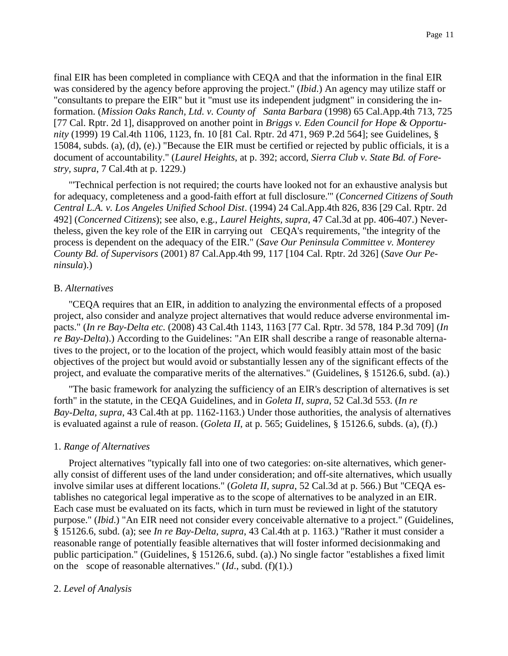final EIR has been completed in compliance with CEQA and that the information in the final EIR was considered by the agency before approving the project." (*Ibid*.) An agency may utilize staff or "consultants to prepare the EIR" but it "must use its independent judgment" in considering the information. (*Mission Oaks Ranch, Ltd. v. County of Santa Barbara* (1998) 65 Cal.App.4th 713, 725 [77 Cal. Rptr. 2d 1], disapproved on another point in *Briggs v. Eden Council for Hope & Opportunity* (1999) 19 Cal.4th 1106, 1123, fn. 10 [81 Cal. Rptr. 2d 471, 969 P.2d 564]; see Guidelines, § 15084, subds. (a), (d), (e).) "Because the EIR must be certified or rejected by public officials, it is a document of accountability." (*Laurel Heights*, at p. 392; accord, *Sierra Club v. State Bd. of Forestry, supra*, 7 Cal.4th at p. 1229.)

"'Technical perfection is not required; the courts have looked not for an exhaustive analysis but for adequacy, completeness and a good-faith effort at full disclosure.'" (*Concerned Citizens of South Central L.A. v. Los Angeles Unified School Dist*. (1994) 24 Cal.App.4th 826, 836 [29 Cal. Rptr. 2d 492] (*Concerned Citizens*); see also, e.g., *Laurel Heights, supra*, 47 Cal.3d at pp. 406-407.) Nevertheless, given the key role of the EIR in carrying out CEQA's requirements, "the integrity of the process is dependent on the adequacy of the EIR." (*Save Our Peninsula Committee v. Monterey County Bd. of Supervisors* (2001) 87 Cal.App.4th 99, 117 [104 Cal. Rptr. 2d 326] (*Save Our Peninsula*).)

## B. *Alternatives*

"CEQA requires that an EIR, in addition to analyzing the environmental effects of a proposed project, also consider and analyze project alternatives that would reduce adverse environmental impacts." (*In re Bay-Delta etc.* (2008) 43 Cal.4th 1143, 1163 [77 Cal. Rptr. 3d 578, 184 P.3d 709] (*In re Bay-Delta*).) According to the Guidelines: "An EIR shall describe a range of reasonable alternatives to the project, or to the location of the project, which would feasibly attain most of the basic objectives of the project but would avoid or substantially lessen any of the significant effects of the project, and evaluate the comparative merits of the alternatives." (Guidelines, § 15126.6, subd. (a).)

"The basic framework for analyzing the sufficiency of an EIR's description of alternatives is set forth" in the statute, in the CEQA Guidelines, and in *Goleta II, supra*, 52 Cal.3d 553. (*In re Bay-Delta, supra*, 43 Cal.4th at pp. 1162-1163.) Under those authorities, the analysis of alternatives is evaluated against a rule of reason. (*Goleta II*, at p. 565; Guidelines, § 15126.6, subds. (a), (f).)

## 1. *Range of Alternatives*

Project alternatives "typically fall into one of two categories: on-site alternatives, which generally consist of different uses of the land under consideration; and off-site alternatives, which usually involve similar uses at different locations." (*Goleta II, supra*, 52 Cal.3d at p. 566.) But "CEQA establishes no categorical legal imperative as to the scope of alternatives to be analyzed in an EIR. Each case must be evaluated on its facts, which in turn must be reviewed in light of the statutory purpose." (*Ibid*.) "An EIR need not consider every conceivable alternative to a project." (Guidelines, § 15126.6, subd. (a); see *In re Bay-Delta, supra*, 43 Cal.4th at p. 1163.) "Rather it must consider a reasonable range of potentially feasible alternatives that will foster informed decisionmaking and public participation." (Guidelines, § 15126.6, subd. (a).) No single factor "establishes a fixed limit on the scope of reasonable alternatives." (*Id*., subd. (f)(1).)

## 2. *Level of Analysis*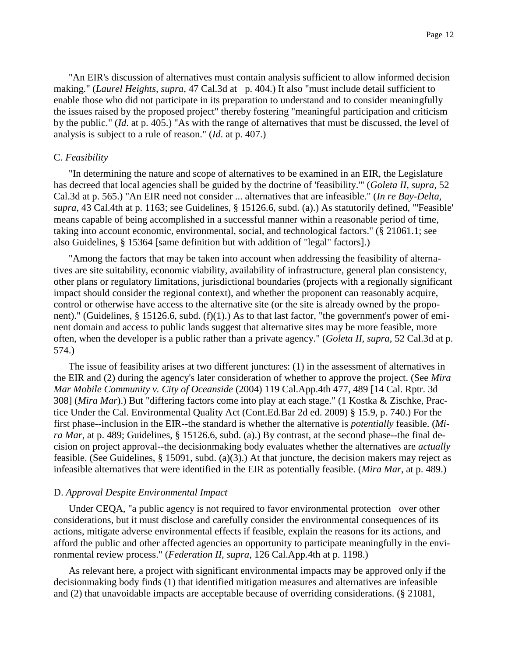"An EIR's discussion of alternatives must contain analysis sufficient to allow informed decision making." (*Laurel Heights, supra*, 47 Cal.3d at p. 404.) It also "must include detail sufficient to enable those who did not participate in its preparation to understand and to consider meaningfully the issues raised by the proposed project" thereby fostering "meaningful participation and criticism by the public." (*Id*. at p. 405.) "As with the range of alternatives that must be discussed, the level of analysis is subject to a rule of reason." (*Id*. at p. 407.)

#### C. *Feasibility*

"In determining the nature and scope of alternatives to be examined in an EIR, the Legislature has decreed that local agencies shall be guided by the doctrine of 'feasibility.'" (*Goleta II, supra*, 52 Cal.3d at p. 565.) "An EIR need not consider ... alternatives that are infeasible." (*In re Bay-Delta, supra*, 43 Cal.4th at p. 1163; see Guidelines, § 15126.6, subd. (a).) As statutorily defined, "'Feasible' means capable of being accomplished in a successful manner within a reasonable period of time, taking into account economic, environmental, social, and technological factors." (§ 21061.1; see also Guidelines, § 15364 [same definition but with addition of "legal" factors].)

"Among the factors that may be taken into account when addressing the feasibility of alternatives are site suitability, economic viability, availability of infrastructure, general plan consistency, other plans or regulatory limitations, jurisdictional boundaries (projects with a regionally significant impact should consider the regional context), and whether the proponent can reasonably acquire, control or otherwise have access to the alternative site (or the site is already owned by the proponent)." (Guidelines, § 15126.6, subd.  $(f)(1)$ .) As to that last factor, "the government's power of eminent domain and access to public lands suggest that alternative sites may be more feasible, more often, when the developer is a public rather than a private agency." (*Goleta II, supra*, 52 Cal.3d at p. 574.)

The issue of feasibility arises at two different junctures: (1) in the assessment of alternatives in the EIR and (2) during the agency's later consideration of whether to approve the project. (See *Mira Mar Mobile Community v. City of Oceanside* (2004) 119 Cal.App.4th 477, 489 [14 Cal. Rptr. 3d 308] (*Mira Mar*).) But "differing factors come into play at each stage." (1 Kostka & Zischke, Practice Under the Cal. Environmental Quality Act (Cont.Ed.Bar 2d ed. 2009) § 15.9, p. 740.) For the first phase--inclusion in the EIR--the standard is whether the alternative is *potentially* feasible. (*Mira Mar*, at p. 489; Guidelines, § 15126.6, subd. (a).) By contrast, at the second phase--the final decision on project approval--the decisionmaking body evaluates whether the alternatives are *actually* feasible. (See Guidelines, § 15091, subd. (a)(3).) At that juncture, the decision makers may reject as infeasible alternatives that were identified in the EIR as potentially feasible. (*Mira Mar*, at p. 489.)

#### D. *Approval Despite Environmental Impact*

Under CEQA, "a public agency is not required to favor environmental protection over other considerations, but it must disclose and carefully consider the environmental consequences of its actions, mitigate adverse environmental effects if feasible, explain the reasons for its actions, and afford the public and other affected agencies an opportunity to participate meaningfully in the environmental review process." (*Federation II, supra*, 126 Cal.App.4th at p. 1198.)

As relevant here, a project with significant environmental impacts may be approved only if the decisionmaking body finds (1) that identified mitigation measures and alternatives are infeasible and (2) that unavoidable impacts are acceptable because of overriding considerations. (§ 21081,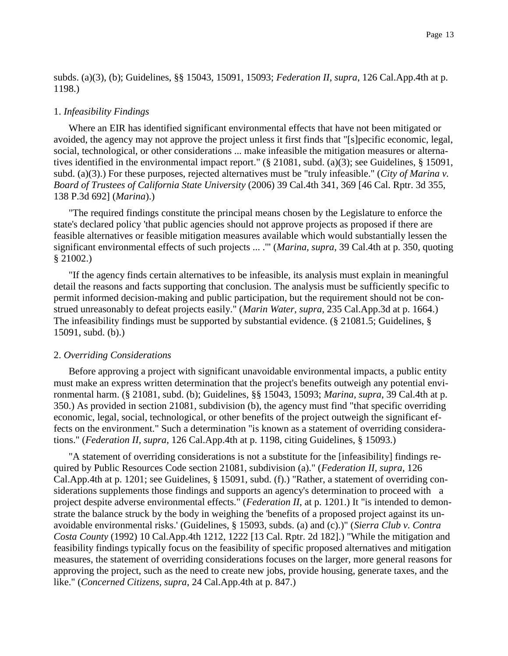subds. (a)(3), (b); Guidelines, §§ 15043, 15091, 15093; *Federation II, supra*, 126 Cal.App.4th at p. 1198.)

#### 1. *Infeasibility Findings*

Where an EIR has identified significant environmental effects that have not been mitigated or avoided, the agency may not approve the project unless it first finds that "[s]pecific economic, legal, social, technological, or other considerations ... make infeasible the mitigation measures or alternatives identified in the environmental impact report." (§ 21081, subd. (a)(3); see Guidelines, § 15091, subd. (a)(3).) For these purposes, rejected alternatives must be "truly infeasible." (*City of Marina v. Board of Trustees of California State University* (2006) 39 Cal.4th 341, 369 [46 Cal. Rptr. 3d 355, 138 P.3d 692] (*Marina*).)

"The required findings constitute the principal means chosen by the Legislature to enforce the state's declared policy 'that public agencies should not approve projects as proposed if there are feasible alternatives or feasible mitigation measures available which would substantially lessen the significant environmental effects of such projects ... .'" (*Marina, supra*, 39 Cal.4th at p. 350, quoting § 21002.)

"If the agency finds certain alternatives to be infeasible, its analysis must explain in meaningful detail the reasons and facts supporting that conclusion. The analysis must be sufficiently specific to permit informed decision-making and public participation, but the requirement should not be construed unreasonably to defeat projects easily." (*Marin Water, supra*, 235 Cal.App.3d at p. 1664.) The infeasibility findings must be supported by substantial evidence. (§ 21081.5; Guidelines, § 15091, subd. (b).)

### 2. *Overriding Considerations*

Before approving a project with significant unavoidable environmental impacts, a public entity must make an express written determination that the project's benefits outweigh any potential environmental harm. (§ 21081, subd. (b); Guidelines, §§ 15043, 15093; *Marina, supra*, 39 Cal.4th at p. 350.) As provided in section 21081, subdivision (b), the agency must find "that specific overriding economic, legal, social, technological, or other benefits of the project outweigh the significant effects on the environment." Such a determination "is known as a statement of overriding considerations." (*Federation II, supra*, 126 Cal.App.4th at p. 1198, citing Guidelines, § 15093.)

"A statement of overriding considerations is not a substitute for the [infeasibility] findings required by Public Resources Code section 21081, subdivision (a)." (*Federation II, supra*, 126 Cal.App.4th at p. 1201; see Guidelines, § 15091, subd. (f).) "Rather, a statement of overriding considerations supplements those findings and supports an agency's determination to proceed with a project despite adverse environmental effects." (*Federation II*, at p. 1201.) It "is intended to demonstrate the balance struck by the body in weighing the 'benefits of a proposed project against its unavoidable environmental risks.' (Guidelines, § 15093, subds. (a) and (c).)" (*Sierra Club v. Contra Costa County* (1992) 10 Cal.App.4th 1212, 1222 [13 Cal. Rptr. 2d 182].) "While the mitigation and feasibility findings typically focus on the feasibility of specific proposed alternatives and mitigation measures, the statement of overriding considerations focuses on the larger, more general reasons for approving the project, such as the need to create new jobs, provide housing, generate taxes, and the like." (*Concerned Citizens, supra*, 24 Cal.App.4th at p. 847.)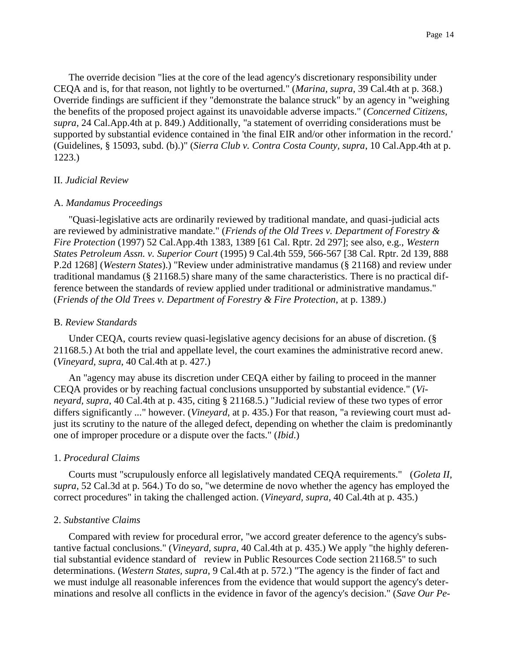The override decision "lies at the core of the lead agency's discretionary responsibility under CEQA and is, for that reason, not lightly to be overturned." (*Marina, supra*, 39 Cal.4th at p. 368.) Override findings are sufficient if they "demonstrate the balance struck" by an agency in "weighing the benefits of the proposed project against its unavoidable adverse impacts." (*Concerned Citizens, supra*, 24 Cal.App.4th at p. 849.) Additionally, "a statement of overriding considerations must be supported by substantial evidence contained in 'the final EIR and/or other information in the record.' (Guidelines, § 15093, subd. (b).)" (*Sierra Club v. Contra Costa County, supra*, 10 Cal.App.4th at p. 1223.)

## II. *Judicial Review*

### A. *Mandamus Proceedings*

"Quasi-legislative acts are ordinarily reviewed by traditional mandate, and quasi-judicial acts are reviewed by administrative mandate." (*Friends of the Old Trees v. Department of Forestry & Fire Protection* (1997) 52 Cal.App.4th 1383, 1389 [61 Cal. Rptr. 2d 297]; see also, e.g., *Western States Petroleum Assn. v. Superior Court* (1995) 9 Cal.4th 559, 566-567 [38 Cal. Rptr. 2d 139, 888 P.2d 1268] (*Western States*).) "Review under administrative mandamus (§ 21168) and review under traditional mandamus (§ 21168.5) share many of the same characteristics. There is no practical difference between the standards of review applied under traditional or administrative mandamus." (*Friends of the Old Trees v. Department of Forestry & Fire Protection*, at p. 1389.)

## B. *Review Standards*

Under CEQA, courts review quasi-legislative agency decisions for an abuse of discretion. (§ 21168.5.) At both the trial and appellate level, the court examines the administrative record anew. (*Vineyard, supra*, 40 Cal.4th at p. 427.)

An "agency may abuse its discretion under CEQA either by failing to proceed in the manner CEQA provides or by reaching factual conclusions unsupported by substantial evidence." (*Vineyard, supra*, 40 Cal.4th at p. 435, citing § 21168.5.) "Judicial review of these two types of error differs significantly ..." however. (*Vineyard*, at p. 435.) For that reason, "a reviewing court must adjust its scrutiny to the nature of the alleged defect, depending on whether the claim is predominantly one of improper procedure or a dispute over the facts." (*Ibid*.)

### 1. *Procedural Claims*

Courts must "scrupulously enforce all legislatively mandated CEQA requirements." (*Goleta II, supra*, 52 Cal.3d at p. 564.) To do so, "we determine de novo whether the agency has employed the correct procedures" in taking the challenged action. (*Vineyard, supra*, 40 Cal.4th at p. 435.)

#### 2. *Substantive Claims*

Compared with review for procedural error, "we accord greater deference to the agency's substantive factual conclusions." (*Vineyard, supra*, 40 Cal.4th at p. 435.) We apply "the highly deferential substantial evidence standard of review in Public Resources Code section 21168.5" to such determinations. (*Western States, supra*, 9 Cal.4th at p. 572.) "The agency is the finder of fact and we must indulge all reasonable inferences from the evidence that would support the agency's determinations and resolve all conflicts in the evidence in favor of the agency's decision." (*Save Our Pe-*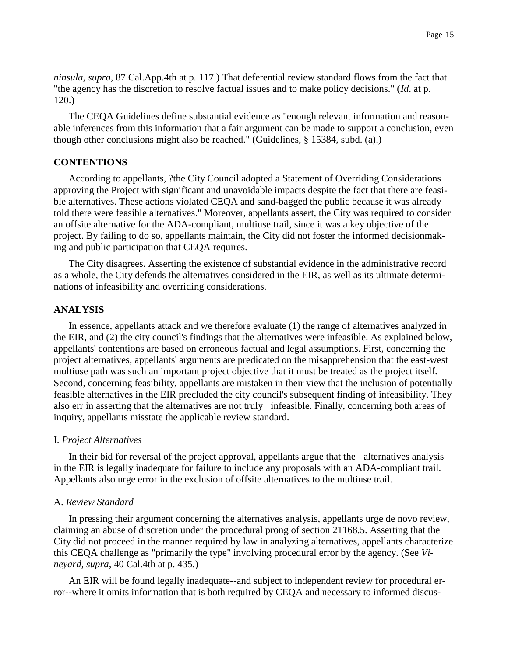*ninsula, supra*, 87 Cal.App.4th at p. 117.) That deferential review standard flows from the fact that "the agency has the discretion to resolve factual issues and to make policy decisions." (*Id*. at p. 120.)

The CEQA Guidelines define substantial evidence as "enough relevant information and reasonable inferences from this information that a fair argument can be made to support a conclusion, even though other conclusions might also be reached." (Guidelines, § 15384, subd. (a).)

#### **CONTENTIONS**

According to appellants, ?the City Council adopted a Statement of Overriding Considerations approving the Project with significant and unavoidable impacts despite the fact that there are feasible alternatives. These actions violated CEQA and sand-bagged the public because it was already told there were feasible alternatives." Moreover, appellants assert, the City was required to consider an offsite alternative for the ADA-compliant, multiuse trail, since it was a key objective of the project. By failing to do so, appellants maintain, the City did not foster the informed decisionmaking and public participation that CEQA requires.

The City disagrees. Asserting the existence of substantial evidence in the administrative record as a whole, the City defends the alternatives considered in the EIR, as well as its ultimate determinations of infeasibility and overriding considerations.

### **ANALYSIS**

In essence, appellants attack and we therefore evaluate (1) the range of alternatives analyzed in the EIR, and (2) the city council's findings that the alternatives were infeasible. As explained below, appellants' contentions are based on erroneous factual and legal assumptions. First, concerning the project alternatives, appellants' arguments are predicated on the misapprehension that the east-west multiuse path was such an important project objective that it must be treated as the project itself. Second, concerning feasibility, appellants are mistaken in their view that the inclusion of potentially feasible alternatives in the EIR precluded the city council's subsequent finding of infeasibility. They also err in asserting that the alternatives are not truly infeasible. Finally, concerning both areas of inquiry, appellants misstate the applicable review standard.

#### I. *Project Alternatives*

In their bid for reversal of the project approval, appellants argue that the alternatives analysis in the EIR is legally inadequate for failure to include any proposals with an ADA-compliant trail. Appellants also urge error in the exclusion of offsite alternatives to the multiuse trail.

#### A. *Review Standard*

In pressing their argument concerning the alternatives analysis, appellants urge de novo review, claiming an abuse of discretion under the procedural prong of section 21168.5. Asserting that the City did not proceed in the manner required by law in analyzing alternatives, appellants characterize this CEQA challenge as "primarily the type" involving procedural error by the agency. (See *Vineyard, supra*, 40 Cal.4th at p. 435.)

An EIR will be found legally inadequate--and subject to independent review for procedural error--where it omits information that is both required by CEQA and necessary to informed discus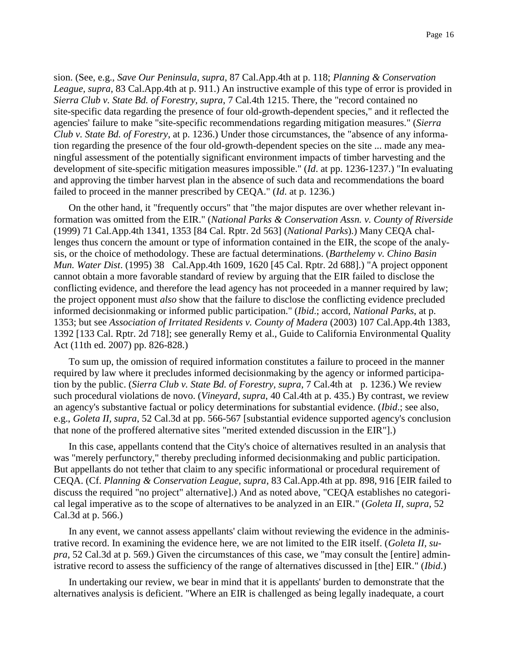sion. (See, e.g., *Save Our Peninsula, supra*, 87 Cal.App.4th at p. 118; *Planning & Conservation League, supra*, 83 Cal.App.4th at p. 911.) An instructive example of this type of error is provided in *Sierra Club v. State Bd. of Forestry, supra*, 7 Cal.4th 1215. There, the "record contained no site-specific data regarding the presence of four old-growth-dependent species," and it reflected the agencies' failure to make "site-specific recommendations regarding mitigation measures." (*Sierra Club v. State Bd. of Forestry*, at p. 1236.) Under those circumstances, the "absence of any information regarding the presence of the four old-growth-dependent species on the site ... made any meaningful assessment of the potentially significant environment impacts of timber harvesting and the development of site-specific mitigation measures impossible." (*Id*. at pp. 1236-1237.) "In evaluating and approving the timber harvest plan in the absence of such data and recommendations the board failed to proceed in the manner prescribed by CEQA." (*Id*. at p. 1236.)

On the other hand, it "frequently occurs" that "the major disputes are over whether relevant information was omitted from the EIR." (*National Parks & Conservation Assn. v. County of Riverside* (1999) 71 Cal.App.4th 1341, 1353 [84 Cal. Rptr. 2d 563] (*National Parks*).) Many CEQA challenges thus concern the amount or type of information contained in the EIR, the scope of the analysis, or the choice of methodology. These are factual determinations. (*Barthelemy v. Chino Basin Mun. Water Dist*. (1995) 38 Cal.App.4th 1609, 1620 [45 Cal. Rptr. 2d 688].) "A project opponent cannot obtain a more favorable standard of review by arguing that the EIR failed to disclose the conflicting evidence, and therefore the lead agency has not proceeded in a manner required by law; the project opponent must *also* show that the failure to disclose the conflicting evidence precluded informed decisionmaking or informed public participation." (*Ibid*.; accord, *National Parks*, at p. 1353; but see *Association of Irritated Residents v. County of Madera* (2003) 107 Cal.App.4th 1383, 1392 [133 Cal. Rptr. 2d 718]; see generally Remy et al., Guide to California Environmental Quality Act (11th ed. 2007) pp. 826-828.)

To sum up, the omission of required information constitutes a failure to proceed in the manner required by law where it precludes informed decisionmaking by the agency or informed participation by the public. (*Sierra Club v. State Bd. of Forestry, supra*, 7 Cal.4th at p. 1236.) We review such procedural violations de novo. (*Vineyard, supra*, 40 Cal.4th at p. 435.) By contrast, we review an agency's substantive factual or policy determinations for substantial evidence. (*Ibid*.; see also, e.g., *Goleta II, supra*, 52 Cal.3d at pp. 566-567 [substantial evidence supported agency's conclusion that none of the proffered alternative sites "merited extended discussion in the EIR"].)

In this case, appellants contend that the City's choice of alternatives resulted in an analysis that was "merely perfunctory," thereby precluding informed decisionmaking and public participation. But appellants do not tether that claim to any specific informational or procedural requirement of CEQA. (Cf. *Planning & Conservation League, supra*, 83 Cal.App.4th at pp. 898, 916 [EIR failed to discuss the required "no project" alternative].) And as noted above, "CEQA establishes no categorical legal imperative as to the scope of alternatives to be analyzed in an EIR." (*Goleta II, supra*, 52 Cal.3d at p. 566.)

In any event, we cannot assess appellants' claim without reviewing the evidence in the administrative record. In examining the evidence here, we are not limited to the EIR itself. (*Goleta II, supra*, 52 Cal.3d at p. 569.) Given the circumstances of this case, we "may consult the [entire] administrative record to assess the sufficiency of the range of alternatives discussed in [the] EIR." (*Ibid*.)

In undertaking our review, we bear in mind that it is appellants' burden to demonstrate that the alternatives analysis is deficient. "Where an EIR is challenged as being legally inadequate, a court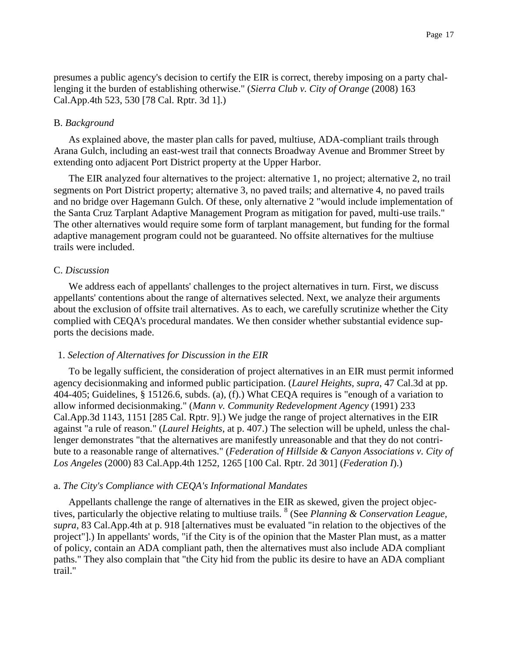presumes a public agency's decision to certify the EIR is correct, thereby imposing on a party challenging it the burden of establishing otherwise." (*Sierra Club v. City of Orange* (2008) 163 Cal.App.4th 523, 530 [78 Cal. Rptr. 3d 1].)

## B. *Background*

As explained above, the master plan calls for paved, multiuse, ADA-compliant trails through Arana Gulch, including an east-west trail that connects Broadway Avenue and Brommer Street by extending onto adjacent Port District property at the Upper Harbor.

The EIR analyzed four alternatives to the project: alternative 1, no project; alternative 2, no trail segments on Port District property; alternative 3, no paved trails; and alternative 4, no paved trails and no bridge over Hagemann Gulch. Of these, only alternative 2 "would include implementation of the Santa Cruz Tarplant Adaptive Management Program as mitigation for paved, multi-use trails." The other alternatives would require some form of tarplant management, but funding for the formal adaptive management program could not be guaranteed. No offsite alternatives for the multiuse trails were included.

## C. *Discussion*

We address each of appellants' challenges to the project alternatives in turn. First, we discuss appellants' contentions about the range of alternatives selected. Next, we analyze their arguments about the exclusion of offsite trail alternatives. As to each, we carefully scrutinize whether the City complied with CEQA's procedural mandates. We then consider whether substantial evidence supports the decisions made.

## 1. *Selection of Alternatives for Discussion in the EIR*

To be legally sufficient, the consideration of project alternatives in an EIR must permit informed agency decisionmaking and informed public participation. (*Laurel Heights, supra*, 47 Cal.3d at pp. 404-405; Guidelines, § 15126.6, subds. (a), (f).) What CEQA requires is "enough of a variation to allow informed decisionmaking." (*Mann v. Community Redevelopment Agency* (1991) 233 Cal.App.3d 1143, 1151 [285 Cal. Rptr. 9].) We judge the range of project alternatives in the EIR against "a rule of reason." (*Laurel Heights*, at p. 407.) The selection will be upheld, unless the challenger demonstrates "that the alternatives are manifestly unreasonable and that they do not contribute to a reasonable range of alternatives." (*Federation of Hillside & Canyon Associations v. City of Los Angeles* (2000) 83 Cal.App.4th 1252, 1265 [100 Cal. Rptr. 2d 301] (*Federation I*).)

## a. *The City's Compliance with CEQA's Informational Mandates*

Appellants challenge the range of alternatives in the EIR as skewed, given the project objectives, particularly the objective relating to multiuse trails. <sup>8</sup> (See *Planning & Conservation League, supra*, 83 Cal.App.4th at p. 918 [alternatives must be evaluated "in relation to the objectives of the project"].) In appellants' words, "if the City is of the opinion that the Master Plan must, as a matter of policy, contain an ADA compliant path, then the alternatives must also include ADA compliant paths." They also complain that "the City hid from the public its desire to have an ADA compliant trail."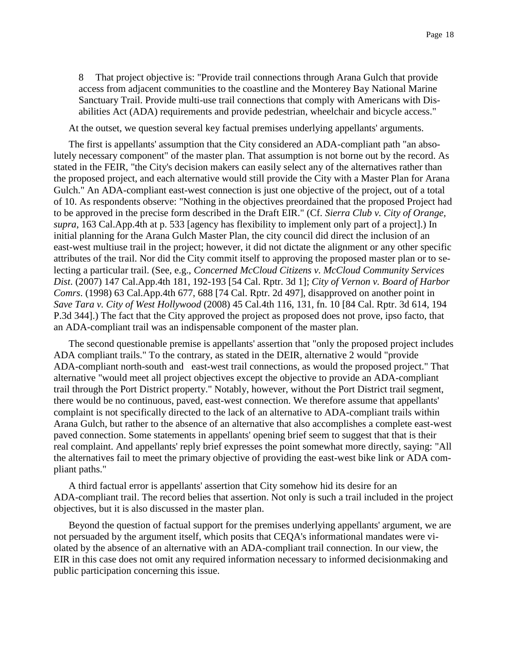8 That project objective is: "Provide trail connections through Arana Gulch that provide access from adjacent communities to the coastline and the Monterey Bay National Marine Sanctuary Trail. Provide multi-use trail connections that comply with Americans with Disabilities Act (ADA) requirements and provide pedestrian, wheelchair and bicycle access."

At the outset, we question several key factual premises underlying appellants' arguments.

The first is appellants' assumption that the City considered an ADA-compliant path "an absolutely necessary component" of the master plan. That assumption is not borne out by the record. As stated in the FEIR, "the City's decision makers can easily select any of the alternatives rather than the proposed project, and each alternative would still provide the City with a Master Plan for Arana Gulch." An ADA-compliant east-west connection is just one objective of the project, out of a total of 10. As respondents observe: "Nothing in the objectives preordained that the proposed Project had to be approved in the precise form described in the Draft EIR." (Cf. *Sierra Club v. City of Orange, supra*, 163 Cal.App.4th at p. 533 [agency has flexibility to implement only part of a project].) In initial planning for the Arana Gulch Master Plan, the city council did direct the inclusion of an east-west multiuse trail in the project; however, it did not dictate the alignment or any other specific attributes of the trail. Nor did the City commit itself to approving the proposed master plan or to selecting a particular trail. (See, e.g., *Concerned McCloud Citizens v. McCloud Community Services Dist*. (2007) 147 Cal.App.4th 181, 192-193 [54 Cal. Rptr. 3d 1]; *City of Vernon v. Board of Harbor Comrs*. (1998) 63 Cal.App.4th 677, 688 [74 Cal. Rptr. 2d 497], disapproved on another point in *Save Tara v. City of West Hollywood* (2008) 45 Cal.4th 116, 131, fn. 10 [84 Cal. Rptr. 3d 614, 194 P.3d 344].) The fact that the City approved the project as proposed does not prove, ipso facto, that an ADA-compliant trail was an indispensable component of the master plan.

The second questionable premise is appellants' assertion that "only the proposed project includes ADA compliant trails." To the contrary, as stated in the DEIR, alternative 2 would "provide ADA-compliant north-south and east-west trail connections, as would the proposed project." That alternative "would meet all project objectives except the objective to provide an ADA-compliant trail through the Port District property." Notably, however, without the Port District trail segment, there would be no continuous, paved, east-west connection. We therefore assume that appellants' complaint is not specifically directed to the lack of an alternative to ADA-compliant trails within Arana Gulch, but rather to the absence of an alternative that also accomplishes a complete east-west paved connection. Some statements in appellants' opening brief seem to suggest that that is their real complaint. And appellants' reply brief expresses the point somewhat more directly, saying: "All the alternatives fail to meet the primary objective of providing the east-west bike link or ADA compliant paths."

A third factual error is appellants' assertion that City somehow hid its desire for an ADA-compliant trail. The record belies that assertion. Not only is such a trail included in the project objectives, but it is also discussed in the master plan.

Beyond the question of factual support for the premises underlying appellants' argument, we are not persuaded by the argument itself, which posits that CEQA's informational mandates were violated by the absence of an alternative with an ADA-compliant trail connection. In our view, the EIR in this case does not omit any required information necessary to informed decisionmaking and public participation concerning this issue.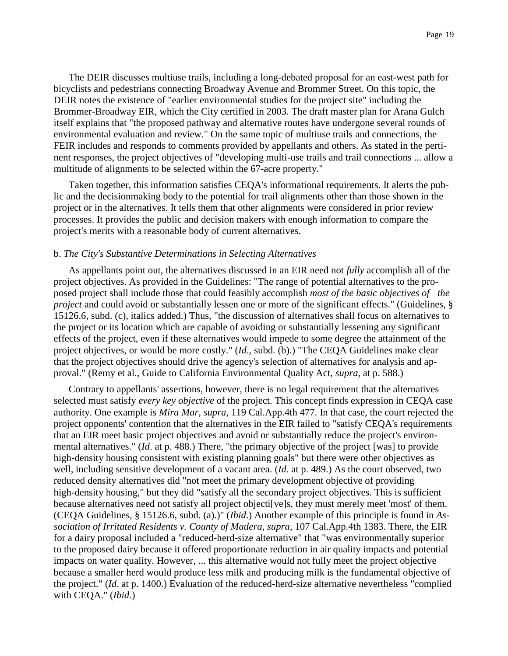The DEIR discusses multiuse trails, including a long-debated proposal for an east-west path for bicyclists and pedestrians connecting Broadway Avenue and Brommer Street. On this topic, the DEIR notes the existence of "earlier environmental studies for the project site" including the Brommer-Broadway EIR, which the City certified in 2003. The draft master plan for Arana Gulch itself explains that "the proposed pathway and alternative routes have undergone several rounds of environmental evaluation and review." On the same topic of multiuse trails and connections, the FEIR includes and responds to comments provided by appellants and others. As stated in the pertinent responses, the project objectives of "developing multi-use trails and trail connections ... allow a multitude of alignments to be selected within the 67-acre property."

Taken together, this information satisfies CEQA's informational requirements. It alerts the public and the decisionmaking body to the potential for trail alignments other than those shown in the project or in the alternatives. It tells them that other alignments were considered in prior review processes. It provides the public and decision makers with enough information to compare the project's merits with a reasonable body of current alternatives.

#### b. *The City's Substantive Determinations in Selecting Alternatives*

As appellants point out, the alternatives discussed in an EIR need not *fully* accomplish all of the project objectives. As provided in the Guidelines: "The range of potential alternatives to the proposed project shall include those that could feasibly accomplish *most of the basic objectives of the project* and could avoid or substantially lessen one or more of the significant effects." (Guidelines, § 15126.6, subd. (c), italics added.) Thus, "the discussion of alternatives shall focus on alternatives to the project or its location which are capable of avoiding or substantially lessening any significant effects of the project, even if these alternatives would impede to some degree the attainment of the project objectives, or would be more costly." (*Id*., subd. (b).) "The CEQA Guidelines make clear that the project objectives should drive the agency's selection of alternatives for analysis and approval." (Remy et al., Guide to California Environmental Quality Act, *supra*, at p. 588.)

Contrary to appellants' assertions, however, there is no legal requirement that the alternatives selected must satisfy *every key objective* of the project. This concept finds expression in CEQA case authority. One example is *Mira Mar, supra*, 119 Cal.App.4th 477. In that case, the court rejected the project opponents' contention that the alternatives in the EIR failed to "satisfy CEQA's requirements that an EIR meet basic project objectives and avoid or substantially reduce the project's environmental alternatives." (*Id*. at p. 488.) There, "the primary objective of the project [was] to provide high-density housing consistent with existing planning goals" but there were other objectives as well, including sensitive development of a vacant area. (*Id*. at p. 489.) As the court observed, two reduced density alternatives did "not meet the primary development objective of providing high-density housing," but they did "satisfy all the secondary project objectives. This is sufficient because alternatives need not satisfy all project objecti[ve]s, they must merely meet 'most' of them. (CEQA Guidelines, § 15126.6, subd. (a).)" (*Ibid*.) Another example of this principle is found in *Association of Irritated Residents v. County of Madera, supra*, 107 Cal.App.4th 1383. There, the EIR for a dairy proposal included a "reduced-herd-size alternative" that "was environmentally superior to the proposed dairy because it offered proportionate reduction in air quality impacts and potential impacts on water quality. However, ... this alternative would not fully meet the project objective because a smaller herd would produce less milk and producing milk is the fundamental objective of the project." (*Id*. at p. 1400.) Evaluation of the reduced-herd-size alternative nevertheless "complied with CEQA." (*Ibid*.)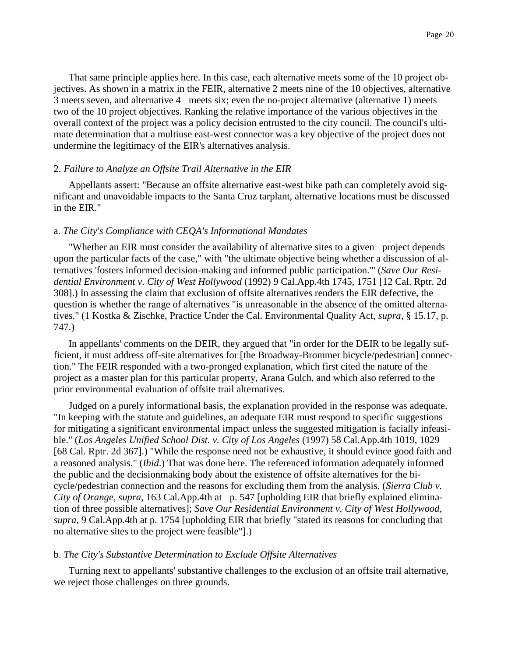That same principle applies here. In this case, each alternative meets some of the 10 project objectives. As shown in a matrix in the FEIR, alternative 2 meets nine of the 10 objectives, alternative 3 meets seven, and alternative 4 meets six; even the no-project alternative (alternative 1) meets two of the 10 project objectives. Ranking the relative importance of the various objectives in the overall context of the project was a policy decision entrusted to the city council. The council's ultimate determination that a multiuse east-west connector was a key objective of the project does not undermine the legitimacy of the EIR's alternatives analysis.

### 2. *Failure to Analyze an Offsite Trail Alternative in the EIR*

Appellants assert: "Because an offsite alternative east-west bike path can completely avoid significant and unavoidable impacts to the Santa Cruz tarplant, alternative locations must be discussed in the EIR."

#### a. *The City's Compliance with CEQA's Informational Mandates*

"Whether an EIR must consider the availability of alternative sites to a given project depends upon the particular facts of the case," with "the ultimate objective being whether a discussion of alternatives 'fosters informed decision-making and informed public participation.'" (*Save Our Residential Environment v. City of West Hollywood* (1992) 9 Cal.App.4th 1745, 1751 [12 Cal. Rptr. 2d 308].) In assessing the claim that exclusion of offsite alternatives renders the EIR defective, the question is whether the range of alternatives "is unreasonable in the absence of the omitted alternatives." (1 Kostka & Zischke, Practice Under the Cal. Environmental Quality Act, *supra*, § 15.17, p. 747.)

In appellants' comments on the DEIR, they argued that "in order for the DEIR to be legally sufficient, it must address off-site alternatives for [the Broadway-Brommer bicycle/pedestrian] connection." The FEIR responded with a two-pronged explanation, which first cited the nature of the project as a master plan for this particular property, Arana Gulch, and which also referred to the prior environmental evaluation of offsite trail alternatives.

Judged on a purely informational basis, the explanation provided in the response was adequate. "In keeping with the statute and guidelines, an adequate EIR must respond to specific suggestions for mitigating a significant environmental impact unless the suggested mitigation is facially infeasible." (*Los Angeles Unified School Dist. v. City of Los Angeles* (1997) 58 Cal.App.4th 1019, 1029 [68 Cal. Rptr. 2d 367].) "While the response need not be exhaustive, it should evince good faith and a reasoned analysis." (*Ibid*.) That was done here. The referenced information adequately informed the public and the decisionmaking body about the existence of offsite alternatives for the bicycle/pedestrian connection and the reasons for excluding them from the analysis. (*Sierra Club v. City of Orange, supra*, 163 Cal.App.4th at p. 547 [upholding EIR that briefly explained elimination of three possible alternatives]; *Save Our Residential Environment v. City of West Hollywood, supra*, 9 Cal.App.4th at p. 1754 [upholding EIR that briefly "stated its reasons for concluding that no alternative sites to the project were feasible"].)

#### b. *The City's Substantive Determination to Exclude Offsite Alternatives*

Turning next to appellants' substantive challenges to the exclusion of an offsite trail alternative, we reject those challenges on three grounds.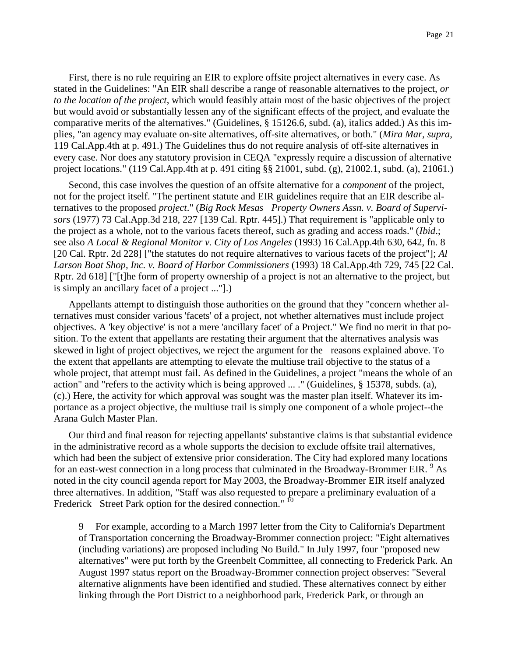First, there is no rule requiring an EIR to explore offsite project alternatives in every case. As stated in the Guidelines: "An EIR shall describe a range of reasonable alternatives to the project, *or to the location of the project*, which would feasibly attain most of the basic objectives of the project but would avoid or substantially lessen any of the significant effects of the project, and evaluate the comparative merits of the alternatives." (Guidelines, § 15126.6, subd. (a), italics added.) As this implies, "an agency may evaluate on-site alternatives, off-site alternatives, or both." (*Mira Mar, supra*, 119 Cal.App.4th at p. 491.) The Guidelines thus do not require analysis of off-site alternatives in every case. Nor does any statutory provision in CEQA "expressly require a discussion of alternative project locations." (119 Cal.App.4th at p. 491 citing §§ 21001, subd. (g), 21002.1, subd. (a), 21061.)

Second, this case involves the question of an offsite alternative for a *component* of the project, not for the project itself. "The pertinent statute and EIR guidelines require that an EIR describe alternatives to the proposed *project*." (*Big Rock Mesas Property Owners Assn. v. Board of Supervisors* (1977) 73 Cal.App.3d 218, 227 [139 Cal. Rptr. 445].) That requirement is "applicable only to the project as a whole, not to the various facets thereof, such as grading and access roads." (*Ibid*.; see also *A Local & Regional Monitor v. City of Los Angeles* (1993) 16 Cal.App.4th 630, 642, fn. 8 [20 Cal. Rptr. 2d 228] ["the statutes do not require alternatives to various facets of the project"]; *Al Larson Boat Shop, Inc. v. Board of Harbor Commissioners* (1993) 18 Cal.App.4th 729, 745 [22 Cal. Rptr. 2d 618] ["[t]he form of property ownership of a project is not an alternative to the project, but is simply an ancillary facet of a project ..."].)

Appellants attempt to distinguish those authorities on the ground that they "concern whether alternatives must consider various 'facets' of a project, not whether alternatives must include project objectives. A 'key objective' is not a mere 'ancillary facet' of a Project." We find no merit in that position. To the extent that appellants are restating their argument that the alternatives analysis was skewed in light of project objectives, we reject the argument for the reasons explained above. To the extent that appellants are attempting to elevate the multiuse trail objective to the status of a whole project, that attempt must fail. As defined in the Guidelines, a project "means the whole of an action" and "refers to the activity which is being approved ... ." (Guidelines, § 15378, subds. (a), (c).) Here, the activity for which approval was sought was the master plan itself. Whatever its importance as a project objective, the multiuse trail is simply one component of a whole project--the Arana Gulch Master Plan.

Our third and final reason for rejecting appellants' substantive claims is that substantial evidence in the administrative record as a whole supports the decision to exclude offsite trail alternatives, which had been the subject of extensive prior consideration. The City had explored many locations for an east-west connection in a long process that culminated in the Broadway-Brommer EIR.  $9$  As noted in the city council agenda report for May 2003, the Broadway-Brommer EIR itself analyzed three alternatives. In addition, "Staff was also requested to prepare a preliminary evaluation of a Frederick Street Park option for the desired connection." <sup>10</sup>

9 For example, according to a March 1997 letter from the City to California's Department of Transportation concerning the Broadway-Brommer connection project: "Eight alternatives (including variations) are proposed including No Build." In July 1997, four "proposed new alternatives" were put forth by the Greenbelt Committee, all connecting to Frederick Park. An August 1997 status report on the Broadway-Brommer connection project observes: "Several alternative alignments have been identified and studied. These alternatives connect by either linking through the Port District to a neighborhood park, Frederick Park, or through an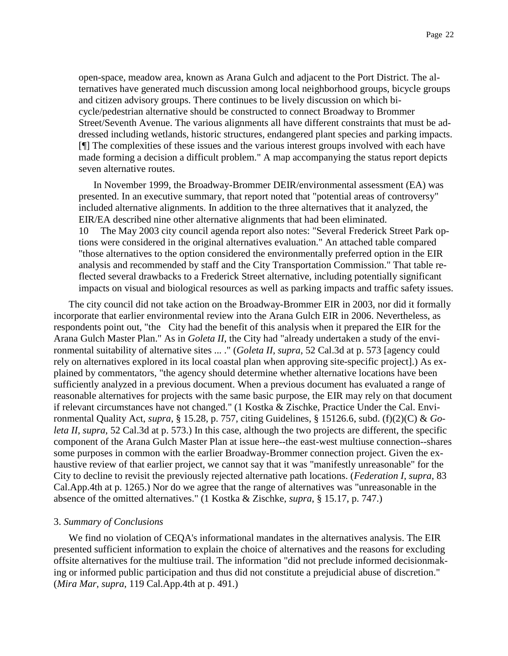open-space, meadow area, known as Arana Gulch and adjacent to the Port District. The alternatives have generated much discussion among local neighborhood groups, bicycle groups and citizen advisory groups. There continues to be lively discussion on which bicycle/pedestrian alternative should be constructed to connect Broadway to Brommer Street/Seventh Avenue. The various alignments all have different constraints that must be addressed including wetlands, historic structures, endangered plant species and parking impacts. [¶] The complexities of these issues and the various interest groups involved with each have made forming a decision a difficult problem." A map accompanying the status report depicts seven alternative routes.

In November 1999, the Broadway-Brommer DEIR/environmental assessment (EA) was presented. In an executive summary, that report noted that "potential areas of controversy" included alternative alignments. In addition to the three alternatives that it analyzed, the EIR/EA described nine other alternative alignments that had been eliminated. 10 The May 2003 city council agenda report also notes: "Several Frederick Street Park options were considered in the original alternatives evaluation." An attached table compared "those alternatives to the option considered the environmentally preferred option in the EIR analysis and recommended by staff and the City Transportation Commission." That table reflected several drawbacks to a Frederick Street alternative, including potentially significant impacts on visual and biological resources as well as parking impacts and traffic safety issues.

The city council did not take action on the Broadway-Brommer EIR in 2003, nor did it formally incorporate that earlier environmental review into the Arana Gulch EIR in 2006. Nevertheless, as respondents point out, "the City had the benefit of this analysis when it prepared the EIR for the Arana Gulch Master Plan." As in *Goleta II*, the City had "already undertaken a study of the environmental suitability of alternative sites ... ." (*Goleta II, supra*, 52 Cal.3d at p. 573 [agency could rely on alternatives explored in its local coastal plan when approving site-specific project].) As explained by commentators, "the agency should determine whether alternative locations have been sufficiently analyzed in a previous document. When a previous document has evaluated a range of reasonable alternatives for projects with the same basic purpose, the EIR may rely on that document if relevant circumstances have not changed." (1 Kostka & Zischke, Practice Under the Cal. Environmental Quality Act, *supra*, § 15.28, p. 757, citing Guidelines, § 15126.6, subd. (f)(2)(C) & *Goleta II, supra*, 52 Cal.3d at p. 573.) In this case, although the two projects are different, the specific component of the Arana Gulch Master Plan at issue here--the east-west multiuse connection--shares some purposes in common with the earlier Broadway-Brommer connection project. Given the exhaustive review of that earlier project, we cannot say that it was "manifestly unreasonable" for the City to decline to revisit the previously rejected alternative path locations. (*Federation I, supra*, 83 Cal.App.4th at p. 1265.) Nor do we agree that the range of alternatives was "unreasonable in the absence of the omitted alternatives." (1 Kostka & Zischke, *supra*, § 15.17, p. 747.)

#### 3. *Summary of Conclusions*

We find no violation of CEQA's informational mandates in the alternatives analysis. The EIR presented sufficient information to explain the choice of alternatives and the reasons for excluding offsite alternatives for the multiuse trail. The information "did not preclude informed decisionmaking or informed public participation and thus did not constitute a prejudicial abuse of discretion." (*Mira Mar, supra*, 119 Cal.App.4th at p. 491.)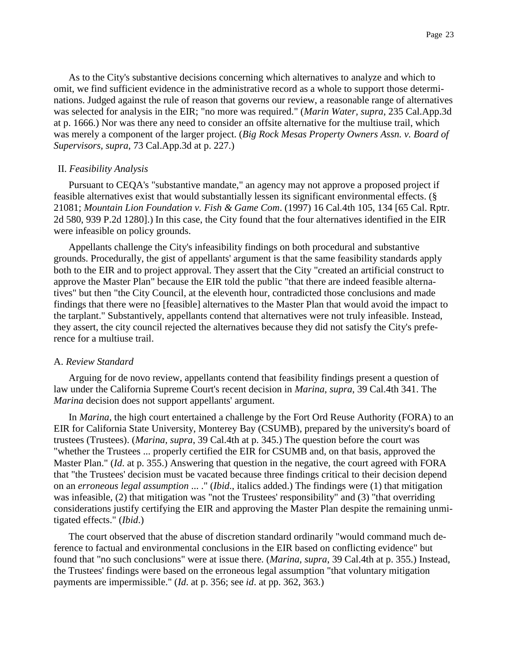As to the City's substantive decisions concerning which alternatives to analyze and which to omit, we find sufficient evidence in the administrative record as a whole to support those determinations. Judged against the rule of reason that governs our review, a reasonable range of alternatives was selected for analysis in the EIR; "no more was required." (*Marin Water, supra*, 235 Cal.App.3d at p. 1666.) Nor was there any need to consider an offsite alternative for the multiuse trail, which was merely a component of the larger project. (*Big Rock Mesas Property Owners Assn. v. Board of Supervisors, supra*, 73 Cal.App.3d at p. 227.)

#### II. *Feasibility Analysis*

Pursuant to CEQA's "substantive mandate," an agency may not approve a proposed project if feasible alternatives exist that would substantially lessen its significant environmental effects. (§ 21081; *Mountain Lion Foundation v. Fish & Game Com*. (1997) 16 Cal.4th 105, 134 [65 Cal. Rptr. 2d 580, 939 P.2d 1280].) In this case, the City found that the four alternatives identified in the EIR were infeasible on policy grounds.

Appellants challenge the City's infeasibility findings on both procedural and substantive grounds. Procedurally, the gist of appellants' argument is that the same feasibility standards apply both to the EIR and to project approval. They assert that the City "created an artificial construct to approve the Master Plan" because the EIR told the public "that there are indeed feasible alternatives" but then "the City Council, at the eleventh hour, contradicted those conclusions and made findings that there were no [feasible] alternatives to the Master Plan that would avoid the impact to the tarplant." Substantively, appellants contend that alternatives were not truly infeasible. Instead, they assert, the city council rejected the alternatives because they did not satisfy the City's preference for a multiuse trail.

#### A. *Review Standard*

Arguing for de novo review, appellants contend that feasibility findings present a question of law under the California Supreme Court's recent decision in *Marina, supra*, 39 Cal.4th 341. The *Marina* decision does not support appellants' argument.

In *Marina*, the high court entertained a challenge by the Fort Ord Reuse Authority (FORA) to an EIR for California State University, Monterey Bay (CSUMB), prepared by the university's board of trustees (Trustees). (*Marina, supra*, 39 Cal.4th at p. 345.) The question before the court was "whether the Trustees ... properly certified the EIR for CSUMB and, on that basis, approved the Master Plan." (*Id*. at p. 355.) Answering that question in the negative, the court agreed with FORA that "the Trustees' decision must be vacated because three findings critical to their decision depend on an *erroneous legal assumption* ... ." (*Ibid*., italics added.) The findings were (1) that mitigation was infeasible, (2) that mitigation was "not the Trustees' responsibility" and (3) "that overriding considerations justify certifying the EIR and approving the Master Plan despite the remaining unmitigated effects." (*Ibid*.)

The court observed that the abuse of discretion standard ordinarily "would command much deference to factual and environmental conclusions in the EIR based on conflicting evidence" but found that "no such conclusions" were at issue there. (*Marina, supra*, 39 Cal.4th at p. 355.) Instead, the Trustees' findings were based on the erroneous legal assumption "that voluntary mitigation payments are impermissible." (*Id*. at p. 356; see *id*. at pp. 362, 363.)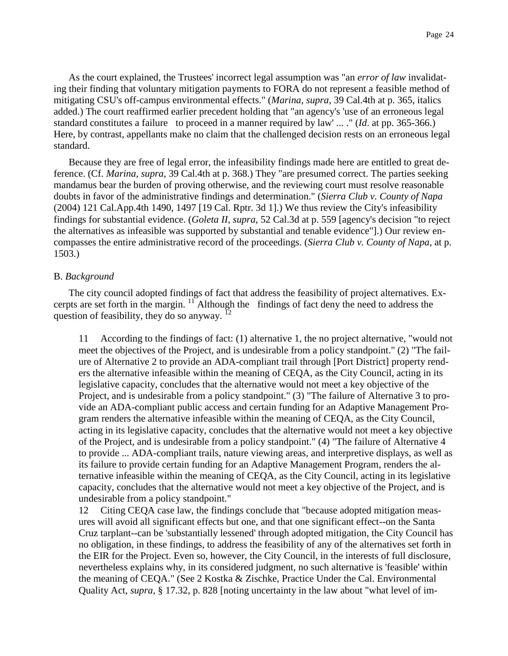As the court explained, the Trustees' incorrect legal assumption was "an *error of law* invalidating their finding that voluntary mitigation payments to FORA do not represent a feasible method of mitigating CSU's off-campus environmental effects." (*Marina, supra*, 39 Cal.4th at p. 365, italics added.) The court reaffirmed earlier precedent holding that "an agency's 'use of an erroneous legal standard constitutes a failure to proceed in a manner required by law' ... ." (*Id*. at pp. 365-366.) Here, by contrast, appellants make no claim that the challenged decision rests on an erroneous legal standard.

Because they are free of legal error, the infeasibility findings made here are entitled to great deference. (Cf. *Marina, supra*, 39 Cal.4th at p. 368.) They "are presumed correct. The parties seeking mandamus bear the burden of proving otherwise, and the reviewing court must resolve reasonable doubts in favor of the administrative findings and determination." (*Sierra Club v. County of Napa* (2004) 121 Cal.App.4th 1490, 1497 [19 Cal. Rptr. 3d 1].) We thus review the City's infeasibility findings for substantial evidence. (*Goleta II, supra*, 52 Cal.3d at p. 559 [agency's decision "to reject the alternatives as infeasible was supported by substantial and tenable evidence"].) Our review encompasses the entire administrative record of the proceedings. (*Sierra Club v. County of Napa*, at p. 1503.)

## B. *Background*

The city council adopted findings of fact that address the feasibility of project alternatives. Excerpts are set forth in the margin. <sup>11</sup> Although the findings of fact deny the need to address the question of feasibility, they do so anyway.  $^{12}$ 

11 According to the findings of fact: (1) alternative 1, the no project alternative, "would not meet the objectives of the Project, and is undesirable from a policy standpoint." (2) "The failure of Alternative 2 to provide an ADA-compliant trail through [Port District] property renders the alternative infeasible within the meaning of CEQA, as the City Council, acting in its legislative capacity, concludes that the alternative would not meet a key objective of the Project, and is undesirable from a policy standpoint." (3) "The failure of Alternative 3 to provide an ADA-compliant public access and certain funding for an Adaptive Management Program renders the alternative infeasible within the meaning of CEQA, as the City Council, acting in its legislative capacity, concludes that the alternative would not meet a key objective of the Project, and is undesirable from a policy standpoint." (4) "The failure of Alternative 4 to provide ... ADA-compliant trails, nature viewing areas, and interpretive displays, as well as its failure to provide certain funding for an Adaptive Management Program, renders the alternative infeasible within the meaning of CEQA, as the City Council, acting in its legislative capacity, concludes that the alternative would not meet a key objective of the Project, and is undesirable from a policy standpoint."

12 Citing CEQA case law, the findings conclude that "because adopted mitigation measures will avoid all significant effects but one, and that one significant effect--on the Santa Cruz tarplant--can be 'substantially lessened' through adopted mitigation, the City Council has no obligation, in these findings, to address the feasibility of any of the alternatives set forth in the EIR for the Project. Even so, however, the City Council, in the interests of full disclosure, nevertheless explains why, in its considered judgment, no such alternative is 'feasible' within the meaning of CEQA." (See 2 Kostka & Zischke, Practice Under the Cal. Environmental Quality Act, *supra*, § 17.32, p. 828 [noting uncertainty in the law about "what level of im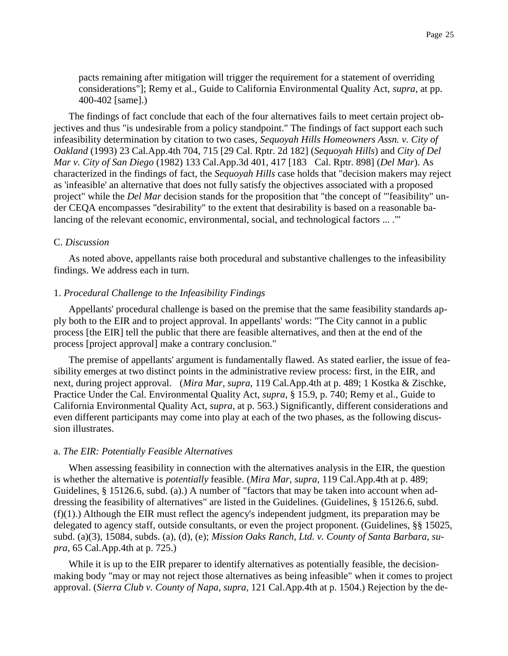pacts remaining after mitigation will trigger the requirement for a statement of overriding considerations"]; Remy et al., Guide to California Environmental Quality Act, *supra*, at pp. 400-402 [same].)

The findings of fact conclude that each of the four alternatives fails to meet certain project objectives and thus "is undesirable from a policy standpoint." The findings of fact support each such infeasibility determination by citation to two cases, *Sequoyah Hills Homeowners Assn. v. City of Oakland* (1993) 23 Cal.App.4th 704, 715 [29 Cal. Rptr. 2d 182] (*Sequoyah Hills*) and *City of Del Mar v. City of San Diego* (1982) 133 Cal.App.3d 401, 417 [183 Cal. Rptr. 898] (*Del Mar*). As characterized in the findings of fact, the *Sequoyah Hills* case holds that "decision makers may reject as 'infeasible' an alternative that does not fully satisfy the objectives associated with a proposed project" while the *Del Mar* decision stands for the proposition that "the concept of '"feasibility" under CEQA encompasses "desirability" to the extent that desirability is based on a reasonable balancing of the relevant economic, environmental, social, and technological factors ... .'"

### C. *Discussion*

As noted above, appellants raise both procedural and substantive challenges to the infeasibility findings. We address each in turn.

#### 1. *Procedural Challenge to the Infeasibility Findings*

Appellants' procedural challenge is based on the premise that the same feasibility standards apply both to the EIR and to project approval. In appellants' words: "The City cannot in a public process [the EIR] tell the public that there are feasible alternatives, and then at the end of the process [project approval] make a contrary conclusion."

The premise of appellants' argument is fundamentally flawed. As stated earlier, the issue of feasibility emerges at two distinct points in the administrative review process: first, in the EIR, and next, during project approval. (*Mira Mar, supra*, 119 Cal.App.4th at p. 489; 1 Kostka & Zischke, Practice Under the Cal. Environmental Quality Act, *supra*, § 15.9, p. 740; Remy et al., Guide to California Environmental Quality Act, *supra*, at p. 563.) Significantly, different considerations and even different participants may come into play at each of the two phases, as the following discussion illustrates.

#### a. *The EIR: Potentially Feasible Alternatives*

When assessing feasibility in connection with the alternatives analysis in the EIR, the question is whether the alternative is *potentially* feasible. (*Mira Mar, supra*, 119 Cal.App.4th at p. 489; Guidelines, § 15126.6, subd. (a).) A number of "factors that may be taken into account when addressing the feasibility of alternatives" are listed in the Guidelines. (Guidelines, § 15126.6, subd.  $(f)(1)$ .) Although the EIR must reflect the agency's independent judgment, its preparation may be delegated to agency staff, outside consultants, or even the project proponent. (Guidelines, §§ 15025, subd. (a)(3), 15084, subds. (a), (d), (e); *Mission Oaks Ranch, Ltd. v. County of Santa Barbara, supra*, 65 Cal.App.4th at p. 725.)

While it is up to the EIR preparer to identify alternatives as potentially feasible, the decisionmaking body "may or may not reject those alternatives as being infeasible" when it comes to project approval. (*Sierra Club v. County of Napa, supra*, 121 Cal.App.4th at p. 1504.) Rejection by the de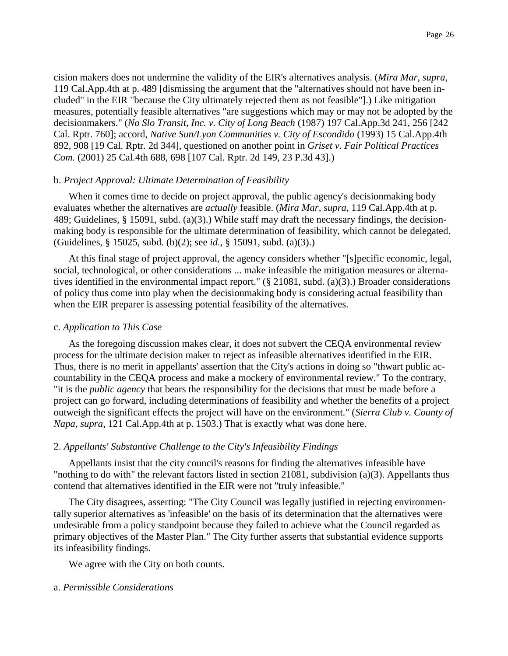cision makers does not undermine the validity of the EIR's alternatives analysis. (*Mira Mar, supra*, 119 Cal.App.4th at p. 489 [dismissing the argument that the "alternatives should not have been included" in the EIR "because the City ultimately rejected them as not feasible"].) Like mitigation measures, potentially feasible alternatives "are suggestions which may or may not be adopted by the decisionmakers." (*No Slo Transit, Inc. v. City of Long Beach* (1987) 197 Cal.App.3d 241, 256 [242 Cal. Rptr. 760]; accord, *Native Sun/Lyon Communities v. City of Escondido* (1993) 15 Cal.App.4th 892, 908 [19 Cal. Rptr. 2d 344], questioned on another point in *Griset v. Fair Political Practices Com*. (2001) 25 Cal.4th 688, 698 [107 Cal. Rptr. 2d 149, 23 P.3d 43].)

#### b. *Project Approval: Ultimate Determination of Feasibility*

When it comes time to decide on project approval, the public agency's decisionmaking body evaluates whether the alternatives are *actually* feasible. (*Mira Mar, supra*, 119 Cal.App.4th at p. 489; Guidelines, § 15091, subd. (a)(3).) While staff may draft the necessary findings, the decisionmaking body is responsible for the ultimate determination of feasibility, which cannot be delegated. (Guidelines, § 15025, subd. (b)(2); see *id*., § 15091, subd. (a)(3).)

At this final stage of project approval, the agency considers whether "[s]pecific economic, legal, social, technological, or other considerations ... make infeasible the mitigation measures or alternatives identified in the environmental impact report."  $(\S$  21081, subd. (a)(3).) Broader considerations of policy thus come into play when the decisionmaking body is considering actual feasibility than when the EIR preparer is assessing potential feasibility of the alternatives.

#### c. *Application to This Case*

As the foregoing discussion makes clear, it does not subvert the CEQA environmental review process for the ultimate decision maker to reject as infeasible alternatives identified in the EIR. Thus, there is no merit in appellants' assertion that the City's actions in doing so "thwart public accountability in the CEQA process and make a mockery of environmental review." To the contrary, "it is the *public agency* that bears the responsibility for the decisions that must be made before a project can go forward, including determinations of feasibility and whether the benefits of a project outweigh the significant effects the project will have on the environment." (*Sierra Club v. County of Napa, supra*, 121 Cal.App.4th at p. 1503.) That is exactly what was done here.

#### 2. *Appellants' Substantive Challenge to the City's Infeasibility Findings*

Appellants insist that the city council's reasons for finding the alternatives infeasible have "nothing to do with" the relevant factors listed in section 21081, subdivision (a)(3). Appellants thus contend that alternatives identified in the EIR were not "truly infeasible."

The City disagrees, asserting: "The City Council was legally justified in rejecting environmentally superior alternatives as 'infeasible' on the basis of its determination that the alternatives were undesirable from a policy standpoint because they failed to achieve what the Council regarded as primary objectives of the Master Plan." The City further asserts that substantial evidence supports its infeasibility findings.

We agree with the City on both counts.

### a. *Permissible Considerations*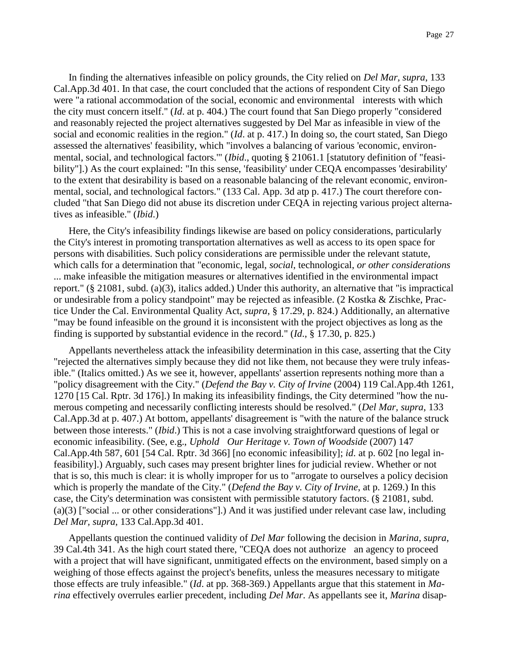In finding the alternatives infeasible on policy grounds, the City relied on *Del Mar, supra*, 133 Cal.App.3d 401. In that case, the court concluded that the actions of respondent City of San Diego were "a rational accommodation of the social, economic and environmental interests with which the city must concern itself." (*Id*. at p. 404.) The court found that San Diego properly "considered and reasonably rejected the project alternatives suggested by Del Mar as infeasible in view of the social and economic realities in the region." (*Id*. at p. 417.) In doing so, the court stated, San Diego assessed the alternatives' feasibility, which "involves a balancing of various 'economic, environmental, social, and technological factors.'" (*Ibid*., quoting § 21061.1 [statutory definition of "feasibility"].) As the court explained: "In this sense, 'feasibility' under CEQA encompasses 'desirability' to the extent that desirability is based on a reasonable balancing of the relevant economic, environmental, social, and technological factors." (133 Cal. App. 3d atp p. 417.) The court therefore concluded "that San Diego did not abuse its discretion under CEQA in rejecting various project alternatives as infeasible." (*Ibid*.)

Here, the City's infeasibility findings likewise are based on policy considerations, particularly the City's interest in promoting transportation alternatives as well as access to its open space for persons with disabilities. Such policy considerations are permissible under the relevant statute, which calls for a determination that "economic, legal, *social*, technological, *or other considerations* ... make infeasible the mitigation measures or alternatives identified in the environmental impact report." (§ 21081, subd. (a)(3), italics added.) Under this authority, an alternative that "is impractical or undesirable from a policy standpoint" may be rejected as infeasible. (2 Kostka & Zischke, Practice Under the Cal. Environmental Quality Act, *supra*, § 17.29, p. 824.) Additionally, an alternative "may be found infeasible on the ground it is inconsistent with the project objectives as long as the finding is supported by substantial evidence in the record." (*Id*., § 17.30, p. 825.)

Appellants nevertheless attack the infeasibility determination in this case, asserting that the City "rejected the alternatives simply because they did not like them, not because they were truly infeasible." (Italics omitted.) As we see it, however, appellants' assertion represents nothing more than a "policy disagreement with the City." (*Defend the Bay v. City of Irvine* (2004) 119 Cal.App.4th 1261, 1270 [15 Cal. Rptr. 3d 176].) In making its infeasibility findings, the City determined "how the numerous competing and necessarily conflicting interests should be resolved." (*Del Mar, supra*, 133 Cal.App.3d at p. 407.) At bottom, appellants' disagreement is "with the nature of the balance struck between those interests." (*Ibid*.) This is not a case involving straightforward questions of legal or economic infeasibility. (See, e.g., *Uphold Our Heritage v. Town of Woodside* (2007) 147 Cal.App.4th 587, 601 [54 Cal. Rptr. 3d 366] [no economic infeasibility]; *id*. at p. 602 [no legal infeasibility].) Arguably, such cases may present brighter lines for judicial review. Whether or not that is so, this much is clear: it is wholly improper for us to "arrogate to ourselves a policy decision which is properly the mandate of the City." (*Defend the Bay v. City of Irvine*, at p. 1269.) In this case, the City's determination was consistent with permissible statutory factors. (§ 21081, subd. (a)(3) ["social ... or other considerations"].) And it was justified under relevant case law, including *Del Mar, supra*, 133 Cal.App.3d 401.

Appellants question the continued validity of *Del Mar* following the decision in *Marina, supra*, 39 Cal.4th 341. As the high court stated there, "CEQA does not authorize an agency to proceed with a project that will have significant, unmitigated effects on the environment, based simply on a weighing of those effects against the project's benefits, unless the measures necessary to mitigate those effects are truly infeasible." (*Id*. at pp. 368-369.) Appellants argue that this statement in *Marina* effectively overrules earlier precedent, including *Del Mar*. As appellants see it, *Marina* disap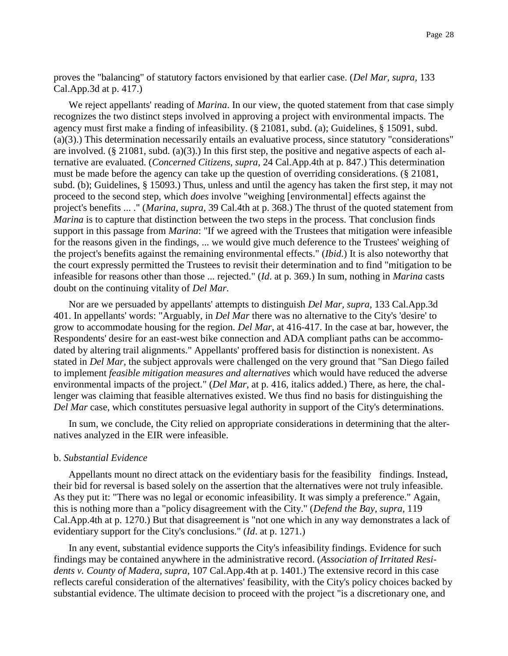proves the "balancing" of statutory factors envisioned by that earlier case. (*Del Mar, supra*, 133 Cal.App.3d at p. 417.)

We reject appellants' reading of *Marina*. In our view, the quoted statement from that case simply recognizes the two distinct steps involved in approving a project with environmental impacts. The agency must first make a finding of infeasibility. (§ 21081, subd. (a); Guidelines, § 15091, subd. (a)(3).) This determination necessarily entails an evaluative process, since statutory "considerations" are involved. (§ 21081, subd. (a)(3).) In this first step, the positive and negative aspects of each alternative are evaluated. (*Concerned Citizens, supra*, 24 Cal.App.4th at p. 847.) This determination must be made before the agency can take up the question of overriding considerations. (§ 21081, subd. (b); Guidelines, § 15093.) Thus, unless and until the agency has taken the first step, it may not proceed to the second step, which *does* involve "weighing [environmental] effects against the project's benefits ... ." (*Marina, supra*, 39 Cal.4th at p. 368.) The thrust of the quoted statement from *Marina* is to capture that distinction between the two steps in the process. That conclusion finds support in this passage from *Marina*: "If we agreed with the Trustees that mitigation were infeasible for the reasons given in the findings, ... we would give much deference to the Trustees' weighing of the project's benefits against the remaining environmental effects." (*Ibid*.) It is also noteworthy that the court expressly permitted the Trustees to revisit their determination and to find "mitigation to be infeasible for reasons other than those ... rejected." (*Id*. at p. 369.) In sum, nothing in *Marina* casts doubt on the continuing vitality of *Del Mar*.

Nor are we persuaded by appellants' attempts to distinguish *Del Mar, supra*, 133 Cal.App.3d 401. In appellants' words: "Arguably, in *Del Mar* there was no alternative to the City's 'desire' to grow to accommodate housing for the region. *Del Mar*, at 416-417. In the case at bar, however, the Respondents' desire for an east-west bike connection and ADA compliant paths can be accommodated by altering trail alignments." Appellants' proffered basis for distinction is nonexistent. As stated in *Del Mar*, the subject approvals were challenged on the very ground that "San Diego failed to implement *feasible mitigation measures and alternatives* which would have reduced the adverse environmental impacts of the project." (*Del Mar*, at p. 416, italics added.) There, as here, the challenger was claiming that feasible alternatives existed. We thus find no basis for distinguishing the *Del Mar* case, which constitutes persuasive legal authority in support of the City's determinations.

In sum, we conclude, the City relied on appropriate considerations in determining that the alternatives analyzed in the EIR were infeasible.

#### b. *Substantial Evidence*

Appellants mount no direct attack on the evidentiary basis for the feasibility findings. Instead, their bid for reversal is based solely on the assertion that the alternatives were not truly infeasible. As they put it: "There was no legal or economic infeasibility. It was simply a preference." Again, this is nothing more than a "policy disagreement with the City." (*Defend the Bay, supra*, 119 Cal.App.4th at p. 1270.) But that disagreement is "not one which in any way demonstrates a lack of evidentiary support for the City's conclusions." (*Id*. at p. 1271.)

In any event, substantial evidence supports the City's infeasibility findings. Evidence for such findings may be contained anywhere in the administrative record. (*Association of Irritated Residents v. County of Madera, supra*, 107 Cal.App.4th at p. 1401.) The extensive record in this case reflects careful consideration of the alternatives' feasibility, with the City's policy choices backed by substantial evidence. The ultimate decision to proceed with the project "is a discretionary one, and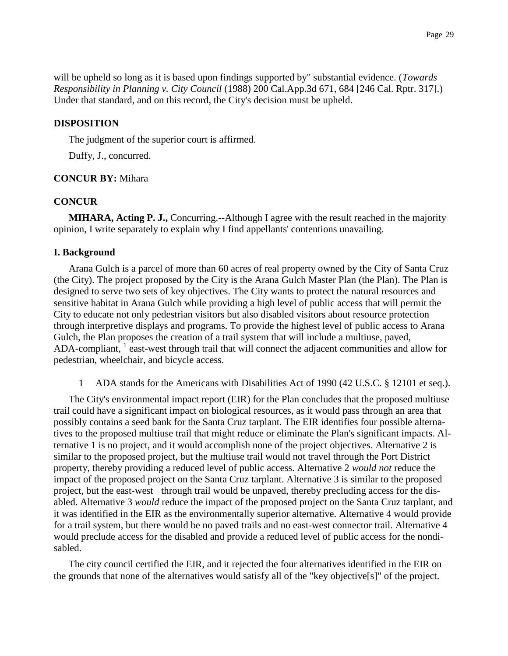will be upheld so long as it is based upon findings supported by" substantial evidence. (*Towards Responsibility in Planning v. City Council* (1988) 200 Cal.App.3d 671, 684 [246 Cal. Rptr. 317].) Under that standard, and on this record, the City's decision must be upheld.

## **DISPOSITION**

The judgment of the superior court is affirmed.

Duffy, J., concurred.

## **CONCUR BY:** Mihara

## **CONCUR**

**MIHARA, Acting P. J.,** Concurring.--Although I agree with the result reached in the majority opinion, I write separately to explain why I find appellants' contentions unavailing.

## **I. Background**

Arana Gulch is a parcel of more than 60 acres of real property owned by the City of Santa Cruz (the City). The project proposed by the City is the Arana Gulch Master Plan (the Plan). The Plan is designed to serve two sets of key objectives. The City wants to protect the natural resources and sensitive habitat in Arana Gulch while providing a high level of public access that will permit the City to educate not only pedestrian visitors but also disabled visitors about resource protection through interpretive displays and programs. To provide the highest level of public access to Arana Gulch, the Plan proposes the creation of a trail system that will include a multiuse, paved, ADA-compliant, <sup>1</sup> east-west through trail that will connect the adjacent communities and allow for pedestrian, wheelchair, and bicycle access.

1 ADA stands for the Americans with Disabilities Act of 1990 (42 U.S.C. § 12101 et seq.).

The City's environmental impact report (EIR) for the Plan concludes that the proposed multiuse trail could have a significant impact on biological resources, as it would pass through an area that possibly contains a seed bank for the Santa Cruz tarplant. The EIR identifies four possible alternatives to the proposed multiuse trail that might reduce or eliminate the Plan's significant impacts. Alternative 1 is no project, and it would accomplish none of the project objectives. Alternative 2 is similar to the proposed project, but the multiuse trail would not travel through the Port District property, thereby providing a reduced level of public access. Alternative 2 *would not* reduce the impact of the proposed project on the Santa Cruz tarplant. Alternative 3 is similar to the proposed project, but the east-west through trail would be unpaved, thereby precluding access for the disabled. Alternative 3 *would* reduce the impact of the proposed project on the Santa Cruz tarplant, and it was identified in the EIR as the environmentally superior alternative. Alternative 4 would provide for a trail system, but there would be no paved trails and no east-west connector trail. Alternative 4 would preclude access for the disabled and provide a reduced level of public access for the nondisabled.

The city council certified the EIR, and it rejected the four alternatives identified in the EIR on the grounds that none of the alternatives would satisfy all of the "key objective[s]" of the project.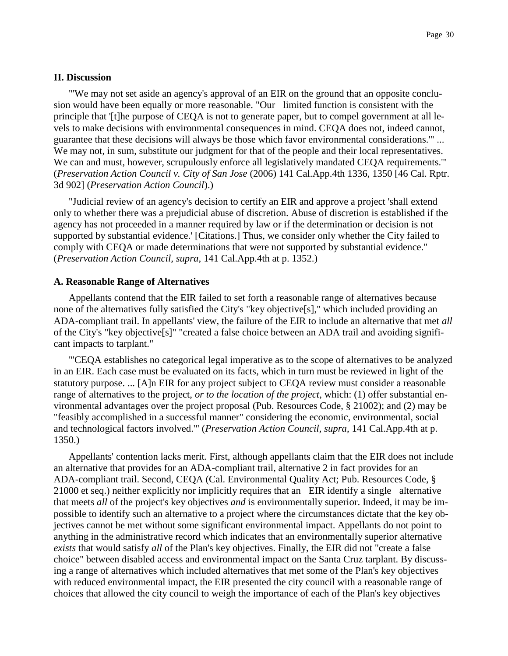## **II. Discussion**

"'We may not set aside an agency's approval of an EIR on the ground that an opposite conclusion would have been equally or more reasonable. "Our limited function is consistent with the principle that '[t]he purpose of CEQA is not to generate paper, but to compel government at all levels to make decisions with environmental consequences in mind. CEQA does not, indeed cannot, guarantee that these decisions will always be those which favor environmental considerations.'" ... We may not, in sum, substitute our judgment for that of the people and their local representatives. We can and must, however, scrupulously enforce all legislatively mandated CEQA requirements." (*Preservation Action Council v. City of San Jose* (2006) 141 Cal.App.4th 1336, 1350 [46 Cal. Rptr. 3d 902] (*Preservation Action Council*).)

"Judicial review of an agency's decision to certify an EIR and approve a project 'shall extend only to whether there was a prejudicial abuse of discretion. Abuse of discretion is established if the agency has not proceeded in a manner required by law or if the determination or decision is not supported by substantial evidence.' [Citations.] Thus, we consider only whether the City failed to comply with CEQA or made determinations that were not supported by substantial evidence." (*Preservation Action Council, supra*, 141 Cal.App.4th at p. 1352.)

### **A. Reasonable Range of Alternatives**

Appellants contend that the EIR failed to set forth a reasonable range of alternatives because none of the alternatives fully satisfied the City's "key objective[s]," which included providing an ADA-compliant trail. In appellants' view, the failure of the EIR to include an alternative that met *all* of the City's "key objective[s]" "created a false choice between an ADA trail and avoiding significant impacts to tarplant."

"'CEQA establishes no categorical legal imperative as to the scope of alternatives to be analyzed in an EIR. Each case must be evaluated on its facts, which in turn must be reviewed in light of the statutory purpose. ... [A]n EIR for any project subject to CEQA review must consider a reasonable range of alternatives to the project, *or to the location of the project*, which: (1) offer substantial environmental advantages over the project proposal (Pub. Resources Code, § 21002); and (2) may be "feasibly accomplished in a successful manner" considering the economic, environmental, social and technological factors involved.'" (*Preservation Action Council, supra*, 141 Cal.App.4th at p. 1350.)

Appellants' contention lacks merit. First, although appellants claim that the EIR does not include an alternative that provides for an ADA-compliant trail, alternative 2 in fact provides for an ADA-compliant trail. Second, CEQA (Cal. Environmental Quality Act; Pub. Resources Code, § 21000 et seq.) neither explicitly nor implicitly requires that an EIR identify a single alternative that meets *all* of the project's key objectives *and* is environmentally superior. Indeed, it may be impossible to identify such an alternative to a project where the circumstances dictate that the key objectives cannot be met without some significant environmental impact. Appellants do not point to anything in the administrative record which indicates that an environmentally superior alternative *exists* that would satisfy *all* of the Plan's key objectives. Finally, the EIR did not "create a false choice" between disabled access and environmental impact on the Santa Cruz tarplant. By discussing a range of alternatives which included alternatives that met some of the Plan's key objectives with reduced environmental impact, the EIR presented the city council with a reasonable range of choices that allowed the city council to weigh the importance of each of the Plan's key objectives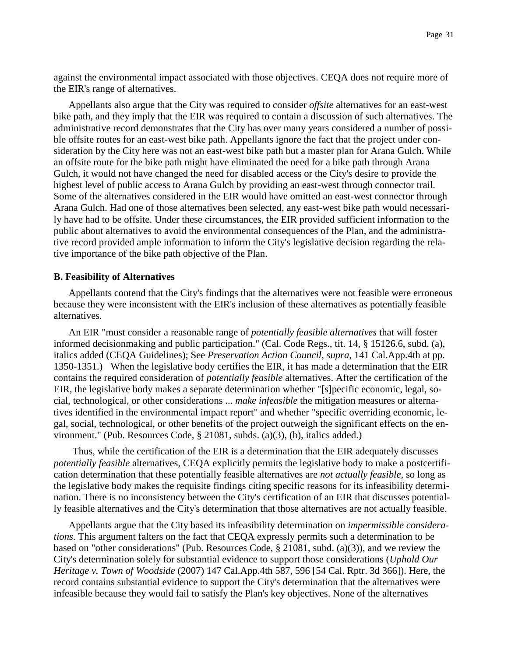against the environmental impact associated with those objectives. CEQA does not require more of the EIR's range of alternatives.

Appellants also argue that the City was required to consider *offsite* alternatives for an east-west bike path, and they imply that the EIR was required to contain a discussion of such alternatives. The administrative record demonstrates that the City has over many years considered a number of possible offsite routes for an east-west bike path. Appellants ignore the fact that the project under consideration by the City here was not an east-west bike path but a master plan for Arana Gulch. While an offsite route for the bike path might have eliminated the need for a bike path through Arana Gulch, it would not have changed the need for disabled access or the City's desire to provide the highest level of public access to Arana Gulch by providing an east-west through connector trail. Some of the alternatives considered in the EIR would have omitted an east-west connector through Arana Gulch. Had one of those alternatives been selected, any east-west bike path would necessarily have had to be offsite. Under these circumstances, the EIR provided sufficient information to the public about alternatives to avoid the environmental consequences of the Plan, and the administrative record provided ample information to inform the City's legislative decision regarding the relative importance of the bike path objective of the Plan.

#### **B. Feasibility of Alternatives**

Appellants contend that the City's findings that the alternatives were not feasible were erroneous because they were inconsistent with the EIR's inclusion of these alternatives as potentially feasible alternatives.

An EIR "must consider a reasonable range of *potentially feasible alternatives* that will foster informed decisionmaking and public participation." (Cal. Code Regs., tit. 14, § 15126.6, subd. (a), italics added (CEQA Guidelines); See *Preservation Action Council, supra*, 141 Cal.App.4th at pp. 1350-1351.) When the legislative body certifies the EIR, it has made a determination that the EIR contains the required consideration of *potentially feasible* alternatives. After the certification of the EIR, the legislative body makes a separate determination whether "[s]pecific economic, legal, social, technological, or other considerations ... *make infeasible* the mitigation measures or alternatives identified in the environmental impact report" and whether "specific overriding economic, legal, social, technological, or other benefits of the project outweigh the significant effects on the environment." (Pub. Resources Code, § 21081, subds. (a)(3), (b), italics added.)

Thus, while the certification of the EIR is a determination that the EIR adequately discusses *potentially feasible* alternatives, CEQA explicitly permits the legislative body to make a postcertification determination that these potentially feasible alternatives are *not actually feasible*, so long as the legislative body makes the requisite findings citing specific reasons for its infeasibility determination. There is no inconsistency between the City's certification of an EIR that discusses potentially feasible alternatives and the City's determination that those alternatives are not actually feasible.

Appellants argue that the City based its infeasibility determination on *impermissible considerations*. This argument falters on the fact that CEQA expressly permits such a determination to be based on "other considerations" (Pub. Resources Code, § 21081, subd. (a)(3)), and we review the City's determination solely for substantial evidence to support those considerations (*Uphold Our Heritage v. Town of Woodside* (2007) 147 Cal.App.4th 587, 596 [54 Cal. Rptr. 3d 366]). Here, the record contains substantial evidence to support the City's determination that the alternatives were infeasible because they would fail to satisfy the Plan's key objectives. None of the alternatives